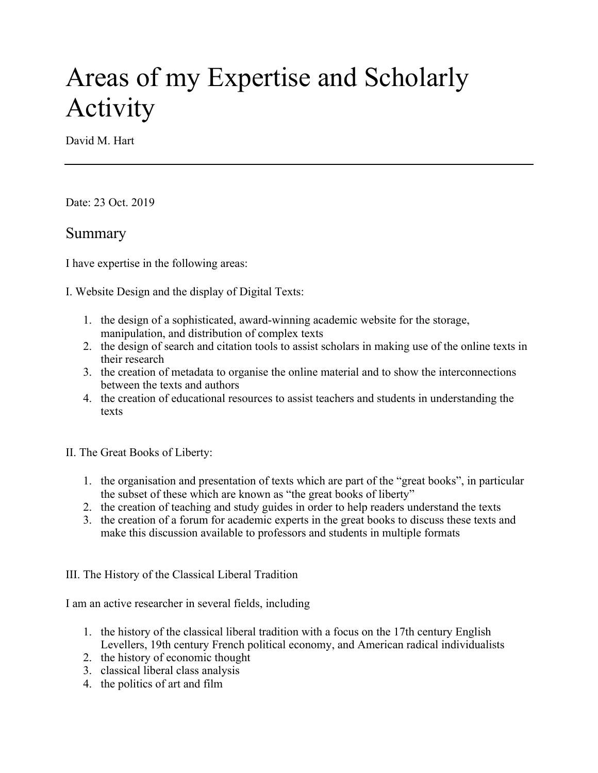# Areas of my Expertise and Scholarly Activity

David M. Hart

Date: 23 Oct. 2019

### Summary

I have expertise in the following areas:

I. Website Design and the display of Digital Texts:

- 1. the design of a sophisticated, award-winning academic website for the storage, manipulation, and distribution of complex texts
- 2. the design of search and citation tools to assist scholars in making use of the online texts in their research
- 3. the creation of metadata to organise the online material and to show the interconnections between the texts and authors
- 4. the creation of educational resources to assist teachers and students in understanding the texts

II. The Great Books of Liberty:

- 1. the organisation and presentation of texts which are part of the "great books", in particular the subset of these which are known as "the great books of liberty"
- 2. the creation of teaching and study guides in order to help readers understand the texts
- 3. the creation of a forum for academic experts in the great books to discuss these texts and make this discussion available to professors and students in multiple formats

III. The History of the Classical Liberal Tradition

I am an active researcher in several fields, including

- 1. the history of the classical liberal tradition with a focus on the 17th century English Levellers, 19th century French political economy, and American radical individualists
- 2. the history of economic thought
- 3. classical liberal class analysis
- 4. the politics of art and film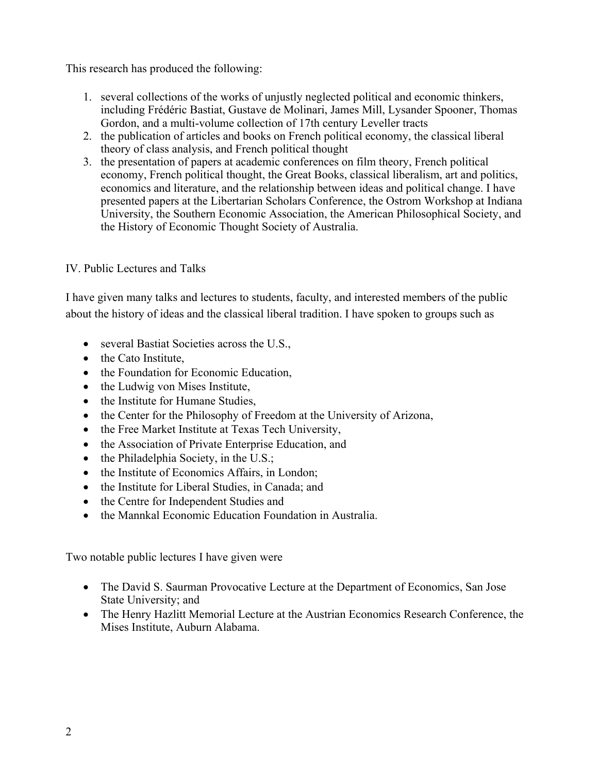This research has produced the following:

- 1. several collections of the works of unjustly neglected political and economic thinkers, including Frédéric Bastiat, Gustave de Molinari, James Mill, Lysander Spooner, Thomas Gordon, and a multi-volume collection of 17th century Leveller tracts
- 2. the publication of articles and books on French political economy, the classical liberal theory of class analysis, and French political thought
- 3. the presentation of papers at academic conferences on film theory, French political economy, French political thought, the Great Books, classical liberalism, art and politics, economics and literature, and the relationship between ideas and political change. I have presented papers at the Libertarian Scholars Conference, the Ostrom Workshop at Indiana University, the Southern Economic Association, the American Philosophical Society, and the History of Economic Thought Society of Australia.

### IV. Public Lectures and Talks

I have given many talks and lectures to students, faculty, and interested members of the public about the history of ideas and the classical liberal tradition. I have spoken to groups such as

- several Bastiat Societies across the U.S.,
- the Cato Institute.
- the Foundation for Economic Education,
- the Ludwig von Mises Institute,
- the Institute for Humane Studies,
- the Center for the Philosophy of Freedom at the University of Arizona,
- the Free Market Institute at Texas Tech University,
- the Association of Private Enterprise Education, and
- the Philadelphia Society, in the U.S.;
- the Institute of Economics Affairs, in London;
- the Institute for Liberal Studies, in Canada; and
- the Centre for Independent Studies and
- the Mannkal Economic Education Foundation in Australia.

Two notable public lectures I have given were

- The David S. Saurman Provocative Lecture at the Department of Economics, San Jose State University; and
- The Henry Hazlitt Memorial Lecture at the Austrian Economics Research Conference, the Mises Institute, Auburn Alabama.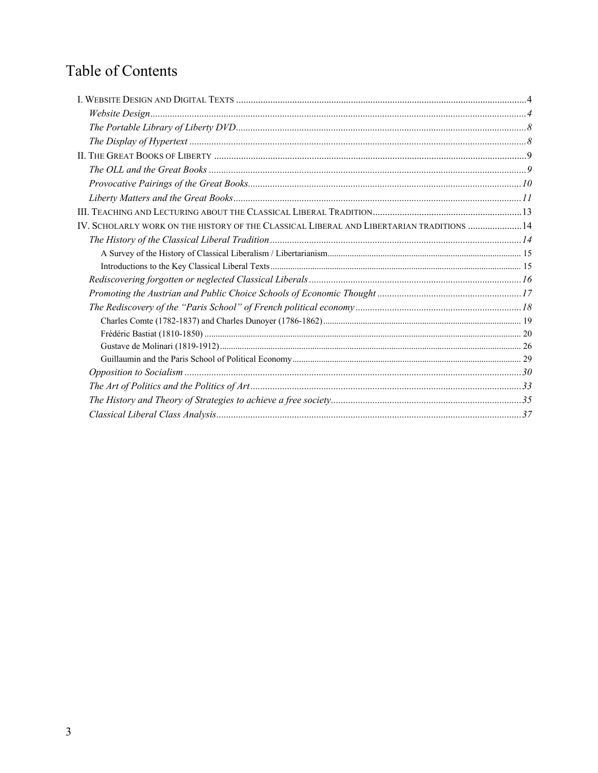# Table of Contents

| IV. SCHOLARLY WORK ON THE HISTORY OF THE CLASSICAL LIBERAL AND LIBERTARIAN TRADITIONS  14 |  |
|-------------------------------------------------------------------------------------------|--|
|                                                                                           |  |
|                                                                                           |  |
|                                                                                           |  |
|                                                                                           |  |
|                                                                                           |  |
|                                                                                           |  |
|                                                                                           |  |
|                                                                                           |  |
|                                                                                           |  |
|                                                                                           |  |
|                                                                                           |  |
|                                                                                           |  |
|                                                                                           |  |
|                                                                                           |  |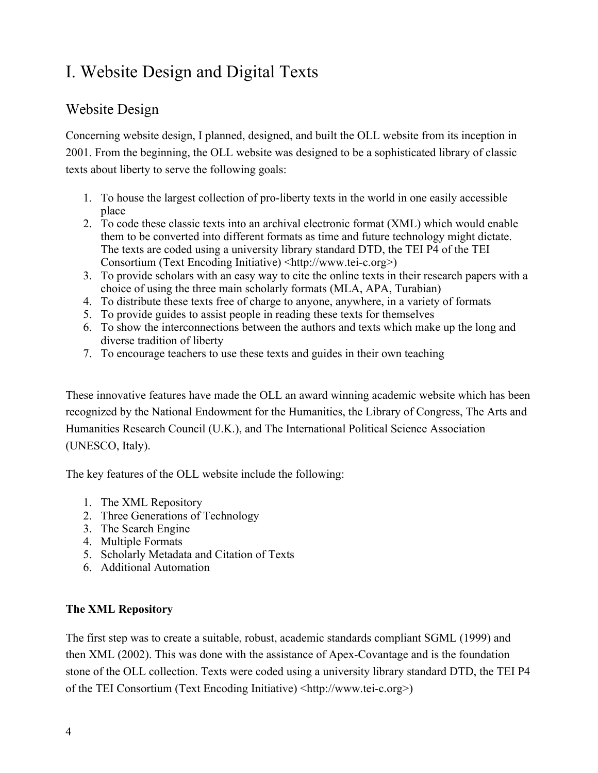# I. Website Design and Digital Texts

### Website Design

Concerning website design, I planned, designed, and built the OLL website from its inception in 2001. From the beginning, the OLL website was designed to be a sophisticated library of classic texts about liberty to serve the following goals:

- 1. To house the largest collection of pro-liberty texts in the world in one easily accessible place
- 2. To code these classic texts into an archival electronic format (XML) which would enable them to be converted into different formats as time and future technology might dictate. The texts are coded using a university library standard DTD, the TEI P4 of the TEI Consortium (Text Encoding Initiative) <http://www.tei-c.org>)
- 3. To provide scholars with an easy way to cite the online texts in their research papers with a choice of using the three main scholarly formats (MLA, APA, Turabian)
- 4. To distribute these texts free of charge to anyone, anywhere, in a variety of formats
- 5. To provide guides to assist people in reading these texts for themselves
- 6. To show the interconnections between the authors and texts which make up the long and diverse tradition of liberty
- 7. To encourage teachers to use these texts and guides in their own teaching

These innovative features have made the OLL an award winning academic website which has been recognized by the National Endowment for the Humanities, the Library of Congress, The Arts and Humanities Research Council (U.K.), and The International Political Science Association (UNESCO, Italy).

The key features of the OLL website include the following:

- 1. The XML Repository
- 2. Three Generations of Technology
- 3. The Search Engine
- 4. Multiple Formats
- 5. Scholarly Metadata and Citation of Texts
- 6. Additional Automation

### **The XML Repository**

The first step was to create a suitable, robust, academic standards compliant SGML (1999) and then XML (2002). This was done with the assistance of Apex-Covantage and is the foundation stone of the OLL collection. Texts were coded using a university library standard DTD, the TEI P4 of the TEI Consortium (Text Encoding Initiative) <http://www.tei-c.org>)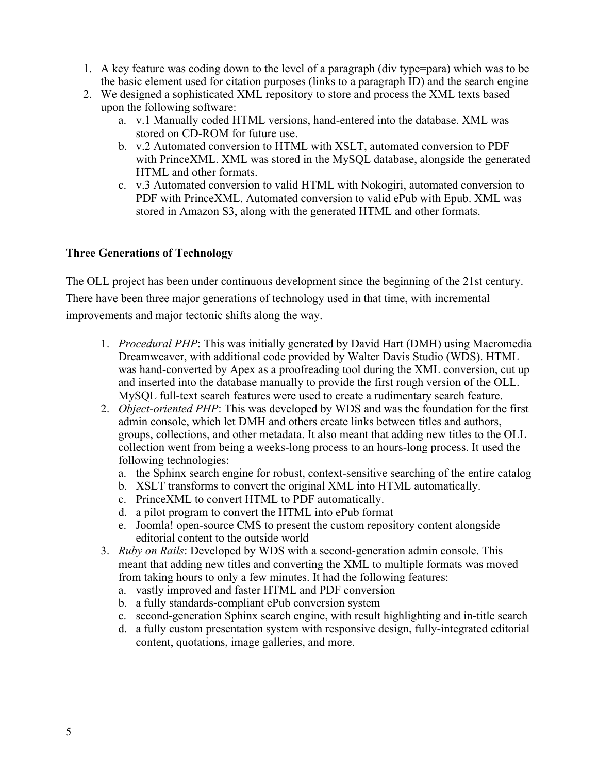- 1. A key feature was coding down to the level of a paragraph (div type=para) which was to be the basic element used for citation purposes (links to a paragraph ID) and the search engine
- 2. We designed a sophisticated XML repository to store and process the XML texts based upon the following software:
	- a. v.1 Manually coded HTML versions, hand-entered into the database. XML was stored on CD-ROM for future use.
	- b. v.2 Automated conversion to HTML with XSLT, automated conversion to PDF with PrinceXML. XML was stored in the MySQL database, alongside the generated HTML and other formats.
	- c. v.3 Automated conversion to valid HTML with Nokogiri, automated conversion to PDF with PrinceXML. Automated conversion to valid ePub with Epub. XML was stored in Amazon S3, along with the generated HTML and other formats.

#### **Three Generations of Technology**

The OLL project has been under continuous development since the beginning of the 21st century. There have been three major generations of technology used in that time, with incremental improvements and major tectonic shifts along the way.

- 1. *Procedural PHP*: This was initially generated by David Hart (DMH) using Macromedia Dreamweaver, with additional code provided by Walter Davis Studio (WDS). HTML was hand-converted by Apex as a proofreading tool during the XML conversion, cut up and inserted into the database manually to provide the first rough version of the OLL. MySQL full-text search features were used to create a rudimentary search feature.
- 2. *Object-oriented PHP*: This was developed by WDS and was the foundation for the first admin console, which let DMH and others create links between titles and authors, groups, collections, and other metadata. It also meant that adding new titles to the OLL collection went from being a weeks-long process to an hours-long process. It used the following technologies:
	- a. the Sphinx search engine for robust, context-sensitive searching of the entire catalog
	- b. XSLT transforms to convert the original XML into HTML automatically.
	- c. PrinceXML to convert HTML to PDF automatically.
	- d. a pilot program to convert the HTML into ePub format
	- e. Joomla! open-source CMS to present the custom repository content alongside editorial content to the outside world
- 3. *Ruby on Rails*: Developed by WDS with a second-generation admin console. This meant that adding new titles and converting the XML to multiple formats was moved from taking hours to only a few minutes. It had the following features:
	- a. vastly improved and faster HTML and PDF conversion
	- b. a fully standards-compliant ePub conversion system
	- c. second-generation Sphinx search engine, with result highlighting and in-title search
	- d. a fully custom presentation system with responsive design, fully-integrated editorial content, quotations, image galleries, and more.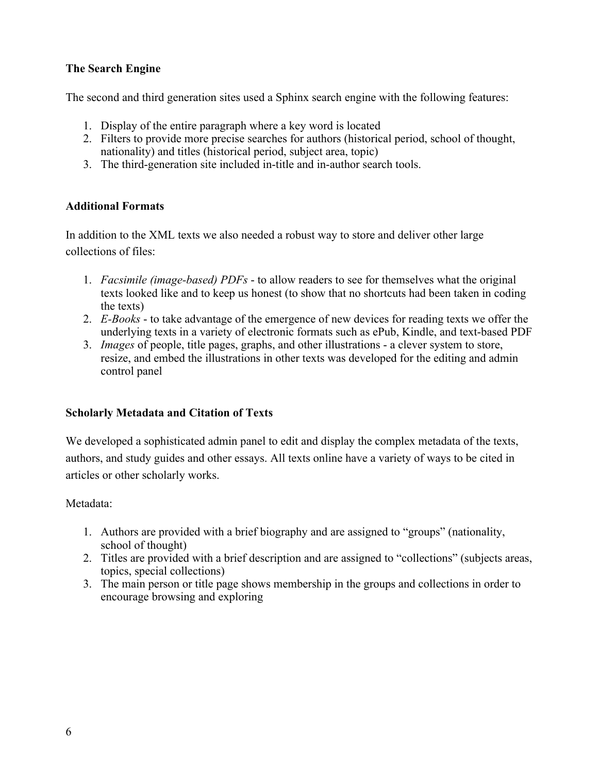### **The Search Engine**

The second and third generation sites used a Sphinx search engine with the following features:

- 1. Display of the entire paragraph where a key word is located
- 2. Filters to provide more precise searches for authors (historical period, school of thought, nationality) and titles (historical period, subject area, topic)
- 3. The third-generation site included in-title and in-author search tools.

### **Additional Formats**

In addition to the XML texts we also needed a robust way to store and deliver other large collections of files:

- 1. *Facsimile (image-based) PDFs* to allow readers to see for themselves what the original texts looked like and to keep us honest (to show that no shortcuts had been taken in coding the texts)
- 2. *E-Books* to take advantage of the emergence of new devices for reading texts we offer the underlying texts in a variety of electronic formats such as ePub, Kindle, and text-based PDF
- 3. *Images* of people, title pages, graphs, and other illustrations a clever system to store, resize, and embed the illustrations in other texts was developed for the editing and admin control panel

#### **Scholarly Metadata and Citation of Texts**

We developed a sophisticated admin panel to edit and display the complex metadata of the texts, authors, and study guides and other essays. All texts online have a variety of ways to be cited in articles or other scholarly works.

#### Metadata:

- 1. Authors are provided with a brief biography and are assigned to "groups" (nationality, school of thought)
- 2. Titles are provided with a brief description and are assigned to "collections" (subjects areas, topics, special collections)
- 3. The main person or title page shows membership in the groups and collections in order to encourage browsing and exploring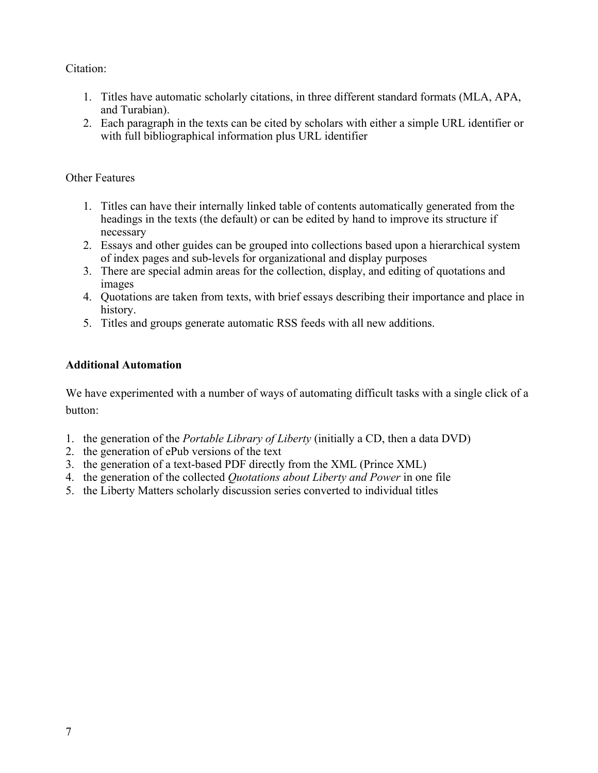#### Citation:

- 1. Titles have automatic scholarly citations, in three different standard formats (MLA, APA, and Turabian).
- 2. Each paragraph in the texts can be cited by scholars with either a simple URL identifier or with full bibliographical information plus URL identifier

### Other Features

- 1. Titles can have their internally linked table of contents automatically generated from the headings in the texts (the default) or can be edited by hand to improve its structure if necessary
- 2. Essays and other guides can be grouped into collections based upon a hierarchical system of index pages and sub-levels for organizational and display purposes
- 3. There are special admin areas for the collection, display, and editing of quotations and images
- 4. Quotations are taken from texts, with brief essays describing their importance and place in history.
- 5. Titles and groups generate automatic RSS feeds with all new additions.

### **Additional Automation**

We have experimented with a number of ways of automating difficult tasks with a single click of a button:

- 1. the generation of the *Portable Library of Liberty* (initially a CD, then a data DVD)
- 2. the generation of ePub versions of the text
- 3. the generation of a text-based PDF directly from the XML (Prince XML)
- 4. the generation of the collected *Quotations about Liberty and Power* in one file
- 5. the Liberty Matters scholarly discussion series converted to individual titles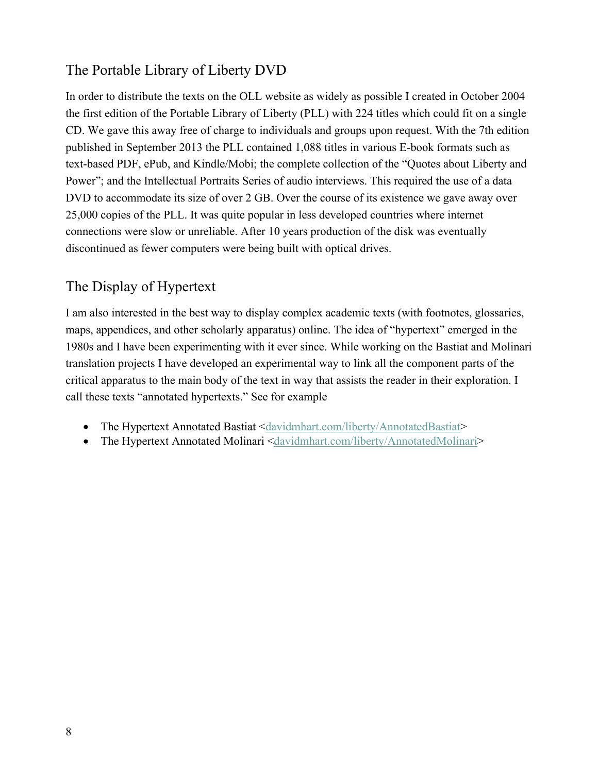# The Portable Library of Liberty DVD

In order to distribute the texts on the OLL website as widely as possible I created in October 2004 the first edition of the Portable Library of Liberty (PLL) with 224 titles which could fit on a single CD. We gave this away free of charge to individuals and groups upon request. With the 7th edition published in September 2013 the PLL contained 1,088 titles in various E-book formats such as text-based PDF, ePub, and Kindle/Mobi; the complete collection of the "Quotes about Liberty and Power"; and the Intellectual Portraits Series of audio interviews. This required the use of a data DVD to accommodate its size of over 2 GB. Over the course of its existence we gave away over 25,000 copies of the PLL. It was quite popular in less developed countries where internet connections were slow or unreliable. After 10 years production of the disk was eventually discontinued as fewer computers were being built with optical drives.

# The Display of Hypertext

I am also interested in the best way to display complex academic texts (with footnotes, glossaries, maps, appendices, and other scholarly apparatus) online. The idea of "hypertext" emerged in the 1980s and I have been experimenting with it ever since. While working on the Bastiat and Molinari translation projects I have developed an experimental way to link all the component parts of the critical apparatus to the main body of the text in way that assists the reader in their exploration. I call these texts "annotated hypertexts." See for example

- The Hypertext Annotated Bastiat <davidmhart.com/liberty/AnnotatedBastiat>
- The Hypertext Annotated Molinari <davidmhart.com/liberty/AnnotatedMolinari>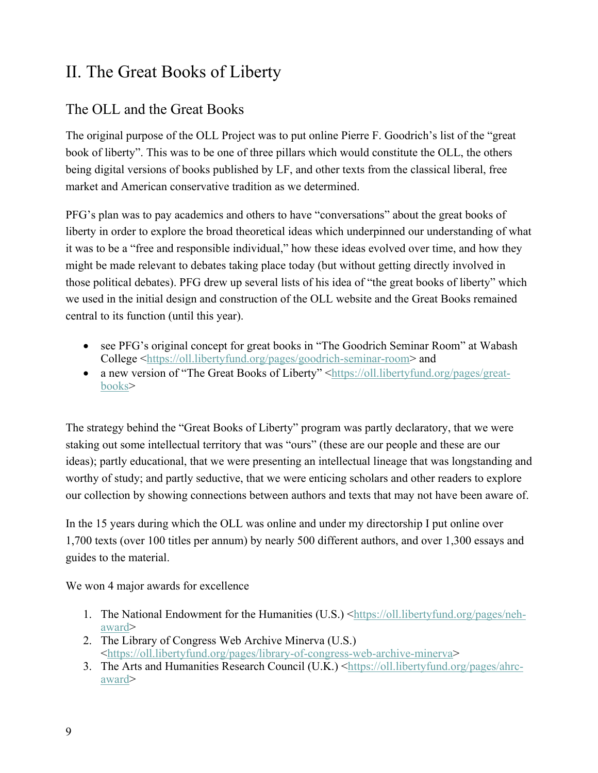# II. The Great Books of Liberty

# The OLL and the Great Books

The original purpose of the OLL Project was to put online Pierre F. Goodrich's list of the "great book of liberty". This was to be one of three pillars which would constitute the OLL, the others being digital versions of books published by LF, and other texts from the classical liberal, free market and American conservative tradition as we determined.

PFG's plan was to pay academics and others to have "conversations" about the great books of liberty in order to explore the broad theoretical ideas which underpinned our understanding of what it was to be a "free and responsible individual," how these ideas evolved over time, and how they might be made relevant to debates taking place today (but without getting directly involved in those political debates). PFG drew up several lists of his idea of "the great books of liberty" which we used in the initial design and construction of the OLL website and the Great Books remained central to its function (until this year).

- see PFG's original concept for great books in "The Goodrich Seminar Room" at Wabash College <https://oll.libertyfund.org/pages/goodrich-seminar-room> and
- a new version of "The Great Books of Liberty" <https://oll.libertyfund.org/pages/greatbooks>

The strategy behind the "Great Books of Liberty" program was partly declaratory, that we were staking out some intellectual territory that was "ours" (these are our people and these are our ideas); partly educational, that we were presenting an intellectual lineage that was longstanding and worthy of study; and partly seductive, that we were enticing scholars and other readers to explore our collection by showing connections between authors and texts that may not have been aware of.

In the 15 years during which the OLL was online and under my directorship I put online over 1,700 texts (over 100 titles per annum) by nearly 500 different authors, and over 1,300 essays and guides to the material.

We won 4 major awards for excellence

- 1. The National Endowment for the Humanities (U.S.) <https://oll.libertyfund.org/pages/nehaward>
- 2. The Library of Congress Web Archive Minerva (U.S.) <https://oll.libertyfund.org/pages/library-of-congress-web-archive-minerva>
- 3. The Arts and Humanities Research Council (U.K.) <https://oll.libertyfund.org/pages/ahrcaward>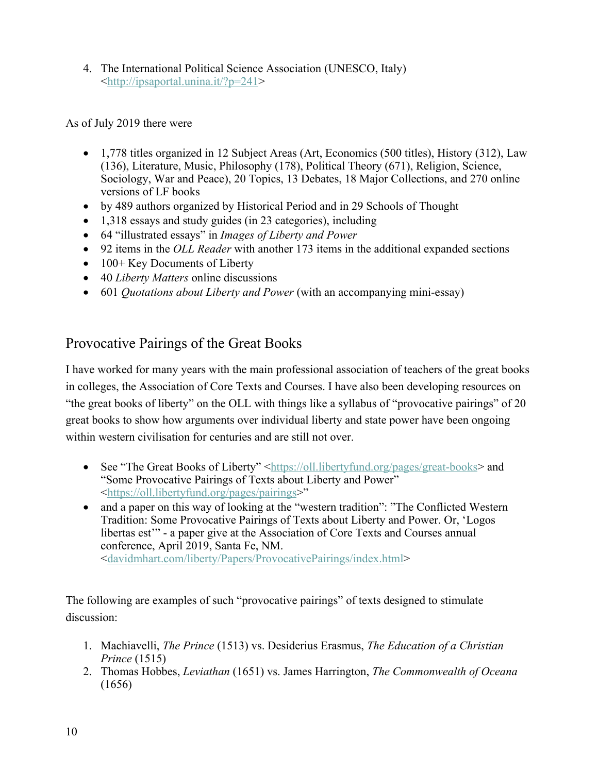4. The International Political Science Association (UNESCO, Italy) <http://ipsaportal.unina.it/?p=241>

As of July 2019 there were

- 1,778 titles organized in 12 Subject Areas (Art, Economics (500 titles), History (312), Law (136), Literature, Music, Philosophy (178), Political Theory (671), Religion, Science, Sociology, War and Peace), 20 Topics, 13 Debates, 18 Major Collections, and 270 online versions of LF books
- by 489 authors organized by Historical Period and in 29 Schools of Thought
- 1,318 essays and study guides (in 23 categories), including
- 64 "illustrated essays" in *Images of Liberty and Power*
- 92 items in the *OLL Reader* with another 173 items in the additional expanded sections
- 100+ Key Documents of Liberty
- 40 *Liberty Matters* online discussions
- 601 *Quotations about Liberty and Power* (with an accompanying mini-essay)

# Provocative Pairings of the Great Books

I have worked for many years with the main professional association of teachers of the great books in colleges, the Association of Core Texts and Courses. I have also been developing resources on "the great books of liberty" on the OLL with things like a syllabus of "provocative pairings" of 20 great books to show how arguments over individual liberty and state power have been ongoing within western civilisation for centuries and are still not over.

- See "The Great Books of Liberty" <https://oll.libertyfund.org/pages/great-books> and "Some Provocative Pairings of Texts about Liberty and Power" <https://oll.libertyfund.org/pages/pairings>"
- and a paper on this way of looking at the "western tradition": "The Conflicted Western Tradition: Some Provocative Pairings of Texts about Liberty and Power. Or, 'Logos libertas est'" - a paper give at the Association of Core Texts and Courses annual conference, April 2019, Santa Fe, NM. <davidmhart.com/liberty/Papers/ProvocativePairings/index.html>

The following are examples of such "provocative pairings" of texts designed to stimulate discussion:

- 1. Machiavelli, *The Prince* (1513) vs. Desiderius Erasmus, *The Education of a Christian Prince* (1515)
- 2. Thomas Hobbes, *Leviathan* (1651) vs. James Harrington, *The Commonwealth of Oceana* (1656)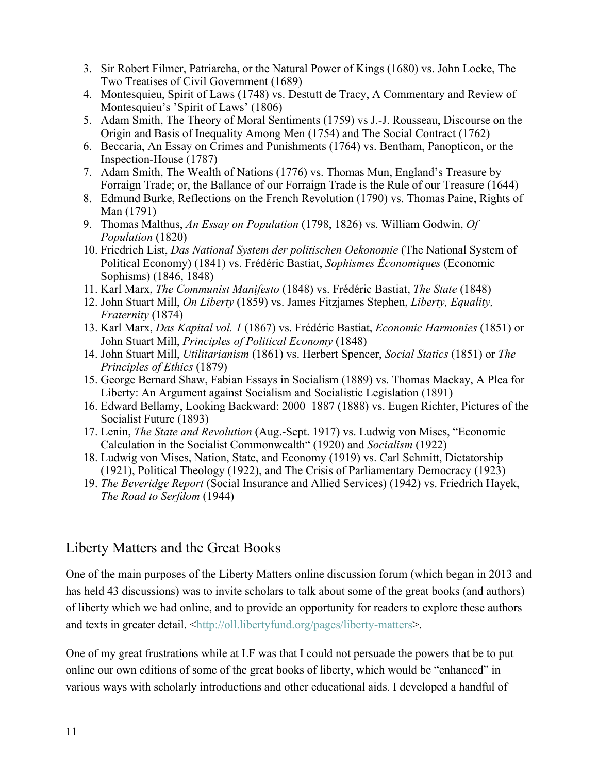- 3. Sir Robert Filmer, Patriarcha, or the Natural Power of Kings (1680) vs. John Locke, The Two Treatises of Civil Government (1689)
- 4. Montesquieu, Spirit of Laws (1748) vs. Destutt de Tracy, A Commentary and Review of Montesquieu's 'Spirit of Laws' (1806)
- 5. Adam Smith, The Theory of Moral Sentiments (1759) vs J.-J. Rousseau, Discourse on the Origin and Basis of Inequality Among Men (1754) and The Social Contract (1762)
- 6. Beccaria, An Essay on Crimes and Punishments (1764) vs. Bentham, Panopticon, or the Inspection-House (1787)
- 7. Adam Smith, The Wealth of Nations (1776) vs. Thomas Mun, England's Treasure by Forraign Trade; or, the Ballance of our Forraign Trade is the Rule of our Treasure (1644)
- 8. Edmund Burke, Reflections on the French Revolution (1790) vs. Thomas Paine, Rights of Man (1791)
- 9. Thomas Malthus, *An Essay on Population* (1798, 1826) vs. William Godwin, *Of Population* (1820)
- 10. Friedrich List, *Das National System der politischen Oekonomie* (The National System of Political Economy) (1841) vs. Frédéric Bastiat, *Sophismes Économiques* (Economic Sophisms) (1846, 1848)
- 11. Karl Marx, *The Communist Manifesto* (1848) vs. Frédéric Bastiat, *The State* (1848)
- 12. John Stuart Mill, *On Liberty* (1859) vs. James Fitzjames Stephen, *Liberty, Equality, Fraternity* (1874)
- 13. Karl Marx, *Das Kapital vol. 1* (1867) vs. Frédéric Bastiat, *Economic Harmonies* (1851) or John Stuart Mill, *Principles of Political Economy* (1848)
- 14. John Stuart Mill, *Utilitarianism* (1861) vs. Herbert Spencer, *Social Statics* (1851) or *The Principles of Ethics* (1879)
- 15. George Bernard Shaw, Fabian Essays in Socialism (1889) vs. Thomas Mackay, A Plea for Liberty: An Argument against Socialism and Socialistic Legislation (1891)
- 16. Edward Bellamy, Looking Backward: 2000–1887 (1888) vs. Eugen Richter, Pictures of the Socialist Future (1893)
- 17. Lenin, *The State and Revolution* (Aug.-Sept. 1917) vs. Ludwig von Mises, "Economic Calculation in the Socialist Commonwealth" (1920) and *Socialism* (1922)
- 18. Ludwig von Mises, Nation, State, and Economy (1919) vs. Carl Schmitt, Dictatorship (1921), Political Theology (1922), and The Crisis of Parliamentary Democracy (1923)
- 19. *The Beveridge Report* (Social Insurance and Allied Services) (1942) vs. Friedrich Hayek, *The Road to Serfdom* (1944)

### Liberty Matters and the Great Books

One of the main purposes of the Liberty Matters online discussion forum (which began in 2013 and has held 43 discussions) was to invite scholars to talk about some of the great books (and authors) of liberty which we had online, and to provide an opportunity for readers to explore these authors and texts in greater detail. <http://oll.libertyfund.org/pages/liberty-matters>.

One of my great frustrations while at LF was that I could not persuade the powers that be to put online our own editions of some of the great books of liberty, which would be "enhanced" in various ways with scholarly introductions and other educational aids. I developed a handful of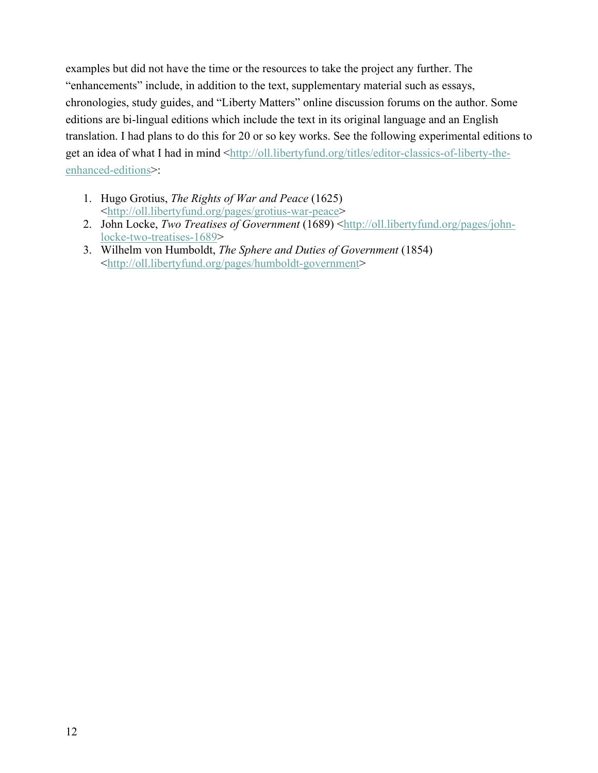examples but did not have the time or the resources to take the project any further. The "enhancements" include, in addition to the text, supplementary material such as essays, chronologies, study guides, and "Liberty Matters" online discussion forums on the author. Some editions are bi-lingual editions which include the text in its original language and an English translation. I had plans to do this for 20 or so key works. See the following experimental editions to get an idea of what I had in mind <http://oll.libertyfund.org/titles/editor-classics-of-liberty-theenhanced-editions>:

- 1. Hugo Grotius, *The Rights of War and Peace* (1625) <http://oll.libertyfund.org/pages/grotius-war-peace>
- 2. John Locke, *Two Treatises of Government* (1689) <http://oll.libertyfund.org/pages/johnlocke-two-treatises-1689>
- 3. Wilhelm von Humboldt, *The Sphere and Duties of Government* (1854) <http://oll.libertyfund.org/pages/humboldt-government>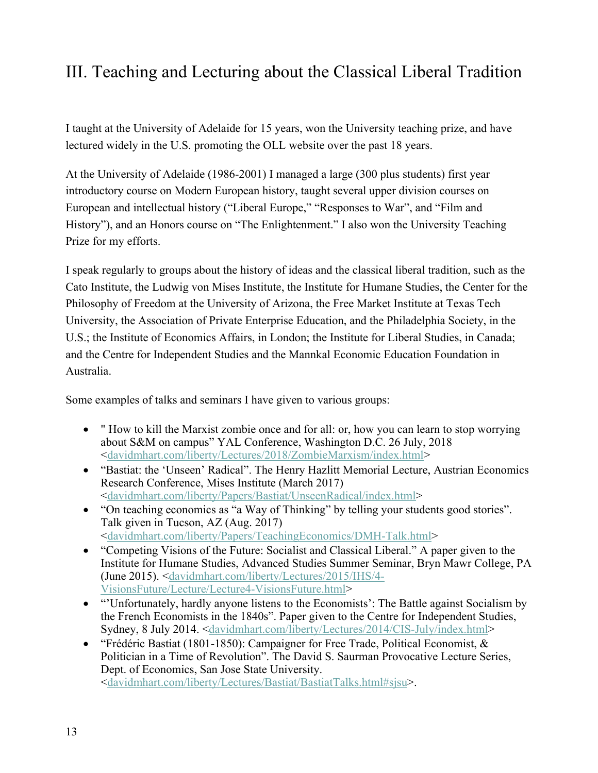# III. Teaching and Lecturing about the Classical Liberal Tradition

I taught at the University of Adelaide for 15 years, won the University teaching prize, and have lectured widely in the U.S. promoting the OLL website over the past 18 years.

At the University of Adelaide (1986-2001) I managed a large (300 plus students) first year introductory course on Modern European history, taught several upper division courses on European and intellectual history ("Liberal Europe," "Responses to War", and "Film and History"), and an Honors course on "The Enlightenment." I also won the University Teaching Prize for my efforts.

I speak regularly to groups about the history of ideas and the classical liberal tradition, such as the Cato Institute, the Ludwig von Mises Institute, the Institute for Humane Studies, the Center for the Philosophy of Freedom at the University of Arizona, the Free Market Institute at Texas Tech University, the Association of Private Enterprise Education, and the Philadelphia Society, in the U.S.; the Institute of Economics Affairs, in London; the Institute for Liberal Studies, in Canada; and the Centre for Independent Studies and the Mannkal Economic Education Foundation in Australia.

Some examples of talks and seminars I have given to various groups:

- " How to kill the Marxist zombie once and for all: or, how you can learn to stop worrying about S&M on campus" YAL Conference, Washington D.C. 26 July, 2018 <davidmhart.com/liberty/Lectures/2018/ZombieMarxism/index.html>
- "Bastiat: the 'Unseen' Radical". The Henry Hazlitt Memorial Lecture, Austrian Economics Research Conference, Mises Institute (March 2017) <davidmhart.com/liberty/Papers/Bastiat/UnseenRadical/index.html>
- "On teaching economics as "a Way of Thinking" by telling your students good stories". Talk given in Tucson, AZ (Aug. 2017) <davidmhart.com/liberty/Papers/TeachingEconomics/DMH-Talk.html>
- "Competing Visions of the Future: Socialist and Classical Liberal." A paper given to the Institute for Humane Studies, Advanced Studies Summer Seminar, Bryn Mawr College, PA (June 2015). <davidmhart.com/liberty/Lectures/2015/IHS/4- VisionsFuture/Lecture/Lecture4-VisionsFuture.html>
- "Unfortunately, hardly anyone listens to the Economists': The Battle against Socialism by the French Economists in the 1840s". Paper given to the Centre for Independent Studies, Sydney, 8 July 2014. <davidmhart.com/liberty/Lectures/2014/CIS-July/index.html>
- "Frédéric Bastiat (1801-1850): Campaigner for Free Trade, Political Economist, & Politician in a Time of Revolution". The David S. Saurman Provocative Lecture Series, Dept. of Economics, San Jose State University. <davidmhart.com/liberty/Lectures/Bastiat/BastiatTalks.html#sjsu>.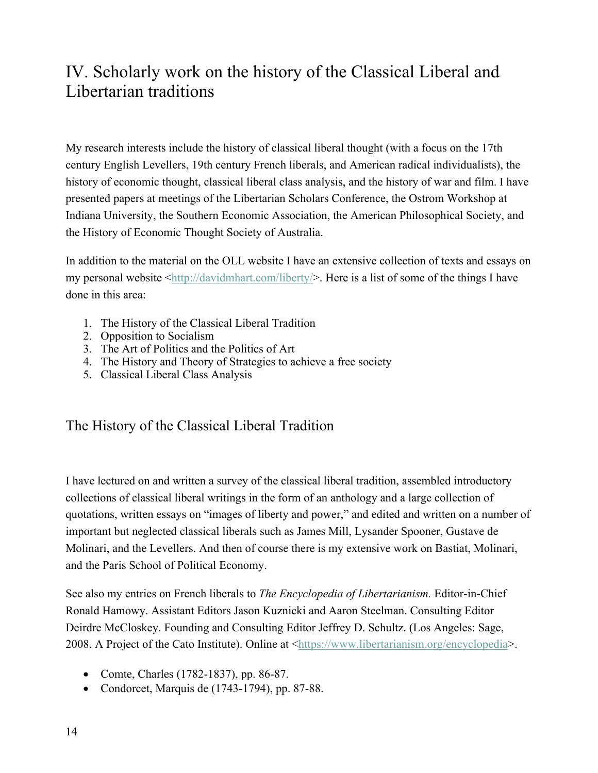# IV. Scholarly work on the history of the Classical Liberal and Libertarian traditions

My research interests include the history of classical liberal thought (with a focus on the 17th century English Levellers, 19th century French liberals, and American radical individualists), the history of economic thought, classical liberal class analysis, and the history of war and film. I have presented papers at meetings of the Libertarian Scholars Conference, the Ostrom Workshop at Indiana University, the Southern Economic Association, the American Philosophical Society, and the History of Economic Thought Society of Australia.

In addition to the material on the OLL website I have an extensive collection of texts and essays on my personal website  $\frac{\text{http://davidmhart.com/liberty/}}{\text{http://davidmhart.com/liberty/}}$ . Here is a list of some of the things I have done in this area:

- 1. The History of the Classical Liberal Tradition
- 2. Opposition to Socialism
- 3. The Art of Politics and the Politics of Art
- 4. The History and Theory of Strategies to achieve a free society
- 5. Classical Liberal Class Analysis

# The History of the Classical Liberal Tradition

I have lectured on and written a survey of the classical liberal tradition, assembled introductory collections of classical liberal writings in the form of an anthology and a large collection of quotations, written essays on "images of liberty and power," and edited and written on a number of important but neglected classical liberals such as James Mill, Lysander Spooner, Gustave de Molinari, and the Levellers. And then of course there is my extensive work on Bastiat, Molinari, and the Paris School of Political Economy.

See also my entries on French liberals to *The Encyclopedia of Libertarianism.* Editor-in-Chief Ronald Hamowy. Assistant Editors Jason Kuznicki and Aaron Steelman. Consulting Editor Deirdre McCloskey. Founding and Consulting Editor Jeffrey D. Schultz. (Los Angeles: Sage, 2008. A Project of the Cato Institute). Online at <https://www.libertarianism.org/encyclopedia>.

- Comte, Charles (1782-1837), pp. 86-87.
- Condorcet, Marquis de (1743-1794), pp. 87-88.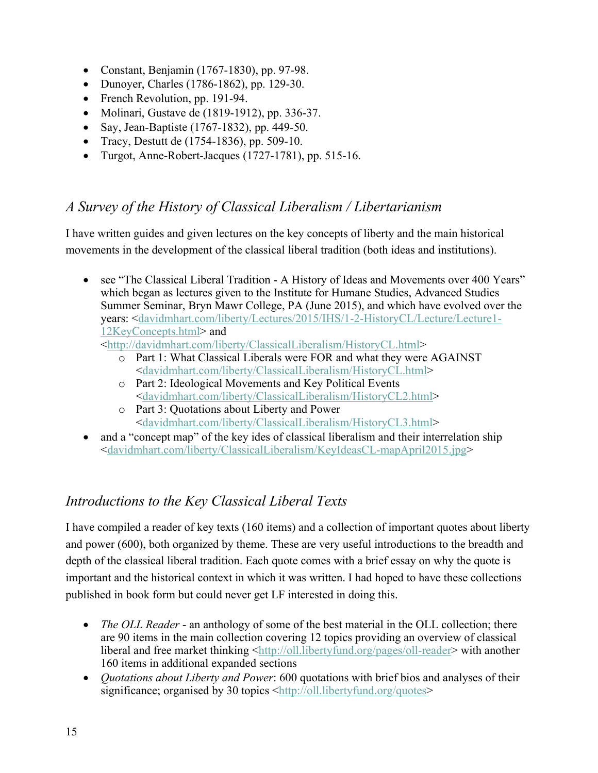- Constant, Benjamin (1767-1830), pp. 97-98.
- Dunoyer, Charles (1786-1862), pp. 129-30.
- French Revolution, pp. 191-94.
- Molinari, Gustave de (1819-1912), pp. 336-37.
- Say, Jean-Baptiste (1767-1832), pp. 449-50.
- Tracy, Destutt de (1754-1836), pp. 509-10.
- Turgot, Anne-Robert-Jacques (1727-1781), pp. 515-16.

### *A Survey of the History of Classical Liberalism / Libertarianism*

I have written guides and given lectures on the key concepts of liberty and the main historical movements in the development of the classical liberal tradition (both ideas and institutions).

• see "The Classical Liberal Tradition - A History of Ideas and Movements over 400 Years" which began as lectures given to the Institute for Humane Studies, Advanced Studies Summer Seminar, Bryn Mawr College, PA (June 2015), and which have evolved over the years: <davidmhart.com/liberty/Lectures/2015/IHS/1-2-HistoryCL/Lecture/Lecture1- 12KeyConcepts.html> and

<http://davidmhart.com/liberty/ClassicalLiberalism/HistoryCL.html>

- o Part 1: What Classical Liberals were FOR and what they were AGAINST <davidmhart.com/liberty/ClassicalLiberalism/HistoryCL.html>
- o Part 2: Ideological Movements and Key Political Events <davidmhart.com/liberty/ClassicalLiberalism/HistoryCL2.html>
- o Part 3: Quotations about Liberty and Power <davidmhart.com/liberty/ClassicalLiberalism/HistoryCL3.html>
- and a "concept map" of the key ides of classical liberalism and their interrelation ship <davidmhart.com/liberty/ClassicalLiberalism/KeyIdeasCL-mapApril2015.jpg>

# *Introductions to the Key Classical Liberal Texts*

I have compiled a reader of key texts (160 items) and a collection of important quotes about liberty and power (600), both organized by theme. These are very useful introductions to the breadth and depth of the classical liberal tradition. Each quote comes with a brief essay on why the quote is important and the historical context in which it was written. I had hoped to have these collections published in book form but could never get LF interested in doing this.

- *The OLL Reader* an anthology of some of the best material in the OLL collection; there are 90 items in the main collection covering 12 topics providing an overview of classical liberal and free market thinking <http://oll.libertyfund.org/pages/oll-reader> with another 160 items in additional expanded sections
- *Quotations about Liberty and Power*: 600 quotations with brief bios and analyses of their significance; organised by 30 topics <http://oll.libertyfund.org/quotes>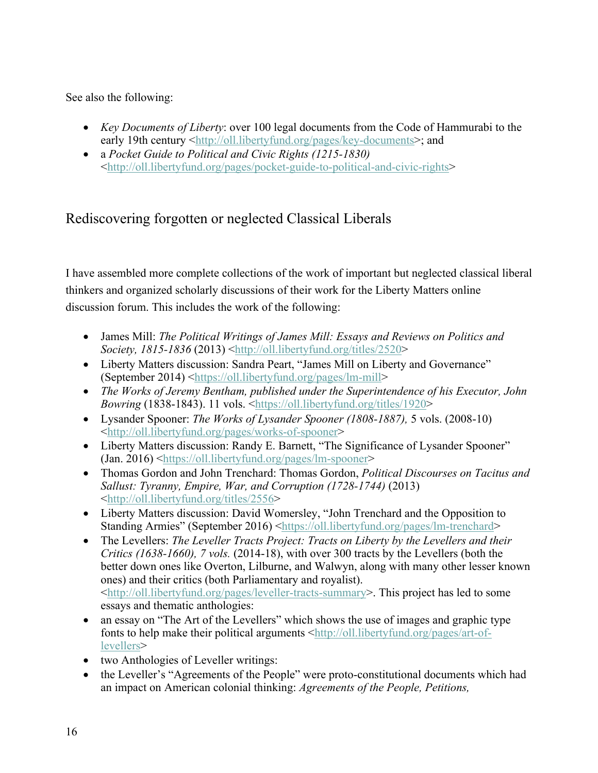See also the following:

- *Key Documents of Liberty*: over 100 legal documents from the Code of Hammurabi to the early 19th century <http://oll.libertyfund.org/pages/key-documents>; and
- a *Pocket Guide to Political and Civic Rights (1215-1830)* <http://oll.libertyfund.org/pages/pocket-guide-to-political-and-civic-rights>

# Rediscovering forgotten or neglected Classical Liberals

I have assembled more complete collections of the work of important but neglected classical liberal thinkers and organized scholarly discussions of their work for the Liberty Matters online discussion forum. This includes the work of the following:

- James Mill: *The Political Writings of James Mill: Essays and Reviews on Politics and Society, 1815-1836* (2013) <http://oll.libertyfund.org/titles/2520>
- Liberty Matters discussion: Sandra Peart, "James Mill on Liberty and Governance" (September 2014) <https://oll.libertyfund.org/pages/lm-mill>
- *The Works of Jeremy Bentham, published under the Superintendence of his Executor, John Bowring* (1838-1843). 11 vols. <https://oll.libertyfund.org/titles/1920>
- Lysander Spooner: *The Works of Lysander Spooner (1808-1887),* 5 vols. (2008-10) <http://oll.libertyfund.org/pages/works-of-spooner>
- Liberty Matters discussion: Randy E. Barnett, "The Significance of Lysander Spooner" (Jan. 2016) <https://oll.libertyfund.org/pages/lm-spooner>
- Thomas Gordon and John Trenchard: Thomas Gordon, *Political Discourses on Tacitus and Sallust: Tyranny, Empire, War, and Corruption (1728-1744)* (2013) <http://oll.libertyfund.org/titles/2556>
- Liberty Matters discussion: David Womersley, "John Trenchard and the Opposition to Standing Armies" (September 2016) <https://oll.libertyfund.org/pages/lm-trenchard>
- The Levellers: *The Leveller Tracts Project: Tracts on Liberty by the Levellers and their Critics (1638-1660), 7 vols.* (2014-18), with over 300 tracts by the Levellers (both the better down ones like Overton, Lilburne, and Walwyn, along with many other lesser known ones) and their critics (both Parliamentary and royalist). <http://oll.libertyfund.org/pages/leveller-tracts-summary>. This project has led to some essays and thematic anthologies:
- an essay on "The Art of the Levellers" which shows the use of images and graphic type fonts to help make their political arguments  $\frac{\text{http://oll.libertyfund.org/page/art-of-}}{\text{http://oll.libertyfund.org/page/art-of-}}$ levellers>
- two Anthologies of Leveller writings:
- the Leveller's "Agreements of the People" were proto-constitutional documents which had an impact on American colonial thinking: *Agreements of the People, Petitions,*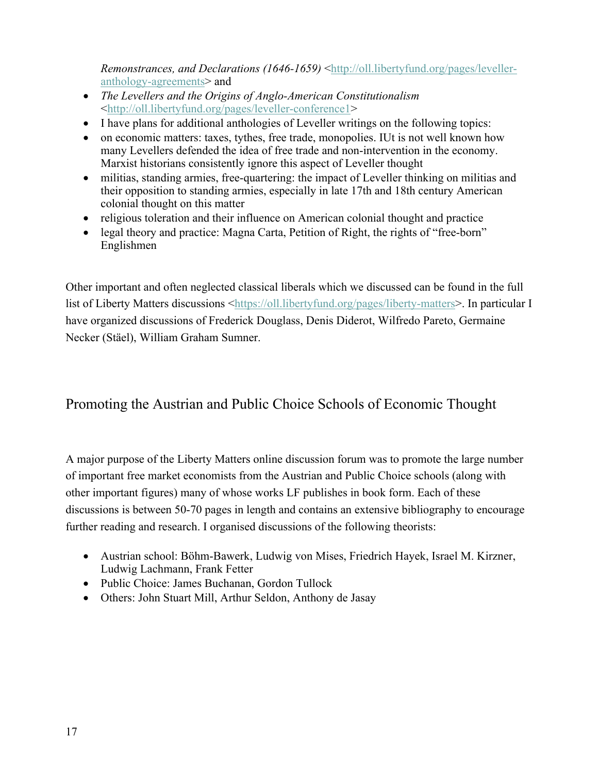*Remonstrances, and Declarations (1646-1659)* <http://oll.libertyfund.org/pages/levelleranthology-agreements> and

- *The Levellers and the Origins of Anglo-American Constitutionalism* <http://oll.libertyfund.org/pages/leveller-conference1>
- I have plans for additional anthologies of Leveller writings on the following topics:
- on economic matters: taxes, tythes, free trade, monopolies. IUt is not well known how many Levellers defended the idea of free trade and non-intervention in the economy. Marxist historians consistently ignore this aspect of Leveller thought
- militias, standing armies, free-quartering: the impact of Leveller thinking on militias and their opposition to standing armies, especially in late 17th and 18th century American colonial thought on this matter
- religious toleration and their influence on American colonial thought and practice
- legal theory and practice: Magna Carta, Petition of Right, the rights of "free-born" Englishmen

Other important and often neglected classical liberals which we discussed can be found in the full list of Liberty Matters discussions <https://oll.libertyfund.org/pages/liberty-matters>. In particular I have organized discussions of Frederick Douglass, Denis Diderot, Wilfredo Pareto, Germaine Necker (Stäel), William Graham Sumner.

# Promoting the Austrian and Public Choice Schools of Economic Thought

A major purpose of the Liberty Matters online discussion forum was to promote the large number of important free market economists from the Austrian and Public Choice schools (along with other important figures) many of whose works LF publishes in book form. Each of these discussions is between 50-70 pages in length and contains an extensive bibliography to encourage further reading and research. I organised discussions of the following theorists:

- Austrian school: Böhm-Bawerk, Ludwig von Mises, Friedrich Hayek, Israel M. Kirzner, Ludwig Lachmann, Frank Fetter
- Public Choice: James Buchanan, Gordon Tullock
- Others: John Stuart Mill, Arthur Seldon, Anthony de Jasay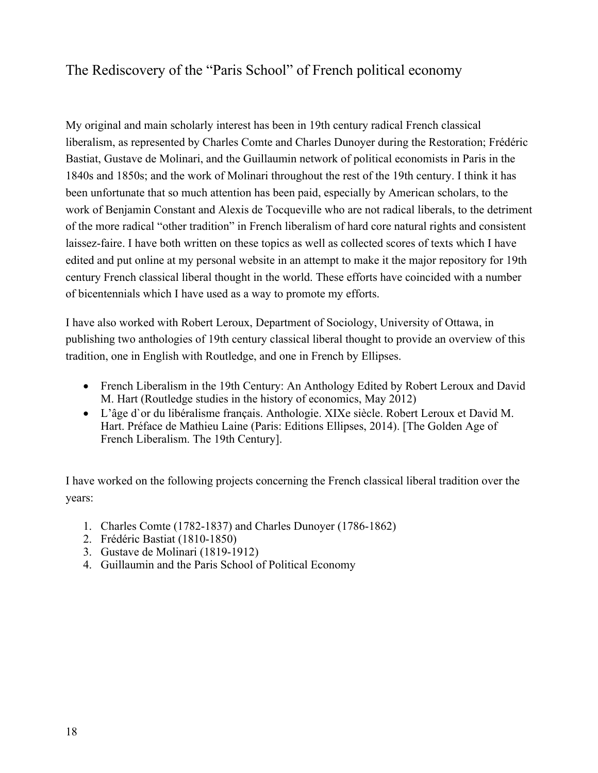# The Rediscovery of the "Paris School" of French political economy

My original and main scholarly interest has been in 19th century radical French classical liberalism, as represented by Charles Comte and Charles Dunoyer during the Restoration; Frédéric Bastiat, Gustave de Molinari, and the Guillaumin network of political economists in Paris in the 1840s and 1850s; and the work of Molinari throughout the rest of the 19th century. I think it has been unfortunate that so much attention has been paid, especially by American scholars, to the work of Benjamin Constant and Alexis de Tocqueville who are not radical liberals, to the detriment of the more radical "other tradition" in French liberalism of hard core natural rights and consistent laissez-faire. I have both written on these topics as well as collected scores of texts which I have edited and put online at my personal website in an attempt to make it the major repository for 19th century French classical liberal thought in the world. These efforts have coincided with a number of bicentennials which I have used as a way to promote my efforts.

I have also worked with Robert Leroux, Department of Sociology, University of Ottawa, in publishing two anthologies of 19th century classical liberal thought to provide an overview of this tradition, one in English with Routledge, and one in French by Ellipses.

- French Liberalism in the 19th Century: An Anthology Edited by Robert Leroux and David M. Hart (Routledge studies in the history of economics, May 2012)
- L'âge d`or du libéralisme français. Anthologie. XIXe siècle. Robert Leroux et David M. Hart. Préface de Mathieu Laine (Paris: Editions Ellipses, 2014). [The Golden Age of French Liberalism. The 19th Century].

I have worked on the following projects concerning the French classical liberal tradition over the years:

- 1. Charles Comte (1782-1837) and Charles Dunoyer (1786-1862)
- 2. Frédéric Bastiat (1810-1850)
- 3. Gustave de Molinari (1819-1912)
- 4. Guillaumin and the Paris School of Political Economy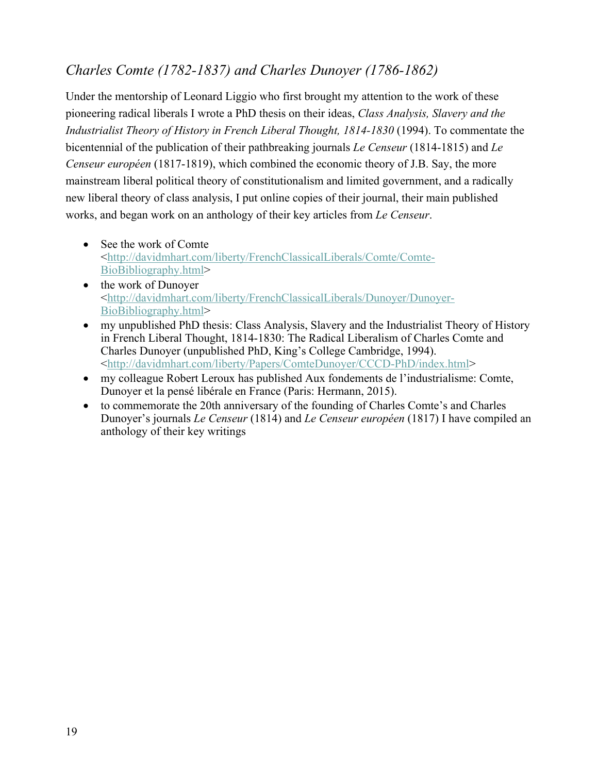# *Charles Comte (1782-1837) and Charles Dunoyer (1786-1862)*

Under the mentorship of Leonard Liggio who first brought my attention to the work of these pioneering radical liberals I wrote a PhD thesis on their ideas, *Class Analysis, Slavery and the Industrialist Theory of History in French Liberal Thought, 1814-1830* (1994). To commentate the bicentennial of the publication of their pathbreaking journals *Le Censeur* (1814-1815) and *Le Censeur européen* (1817-1819), which combined the economic theory of J.B. Say, the more mainstream liberal political theory of constitutionalism and limited government, and a radically new liberal theory of class analysis, I put online copies of their journal, their main published works, and began work on an anthology of their key articles from *Le Censeur*.

- See the work of Comte <http://davidmhart.com/liberty/FrenchClassicalLiberals/Comte/Comte-BioBibliography.html>
- the work of Dunoyer <http://davidmhart.com/liberty/FrenchClassicalLiberals/Dunoyer/Dunoyer-BioBibliography.html>
- my unpublished PhD thesis: Class Analysis, Slavery and the Industrialist Theory of History in French Liberal Thought, 1814-1830: The Radical Liberalism of Charles Comte and Charles Dunoyer (unpublished PhD, King's College Cambridge, 1994). <http://davidmhart.com/liberty/Papers/ComteDunoyer/CCCD-PhD/index.html>
- my colleague Robert Leroux has published Aux fondements de l'industrialisme: Comte, Dunoyer et la pensé libérale en France (Paris: Hermann, 2015).
- to commemorate the 20th anniversary of the founding of Charles Comte's and Charles Dunoyer's journals *Le Censeur* (1814) and *Le Censeur européen* (1817) I have compiled an anthology of their key writings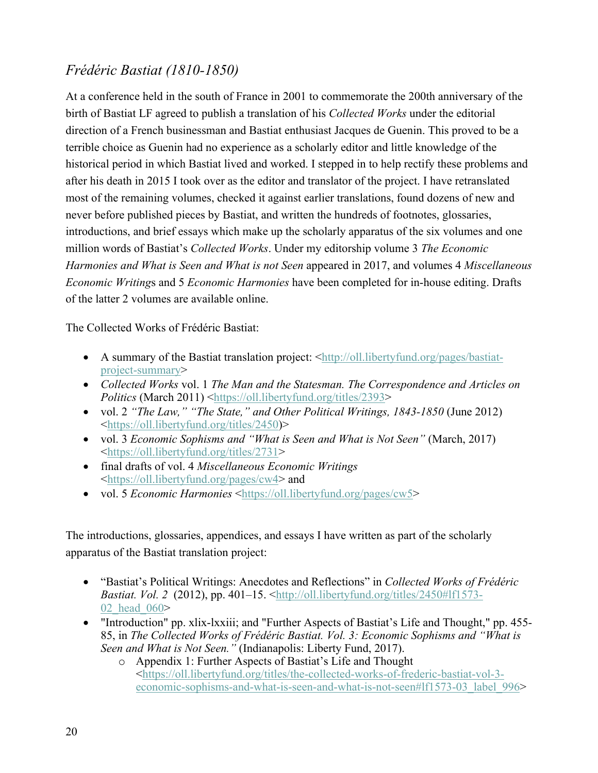# *Frédéric Bastiat (1810-1850)*

At a conference held in the south of France in 2001 to commemorate the 200th anniversary of the birth of Bastiat LF agreed to publish a translation of his *Collected Works* under the editorial direction of a French businessman and Bastiat enthusiast Jacques de Guenin. This proved to be a terrible choice as Guenin had no experience as a scholarly editor and little knowledge of the historical period in which Bastiat lived and worked. I stepped in to help rectify these problems and after his death in 2015 I took over as the editor and translator of the project. I have retranslated most of the remaining volumes, checked it against earlier translations, found dozens of new and never before published pieces by Bastiat, and written the hundreds of footnotes, glossaries, introductions, and brief essays which make up the scholarly apparatus of the six volumes and one million words of Bastiat's *Collected Works*. Under my editorship volume 3 *The Economic Harmonies and What is Seen and What is not Seen* appeared in 2017, and volumes 4 *Miscellaneous Economic Writing*s and 5 *Economic Harmonies* have been completed for in-house editing. Drafts of the latter 2 volumes are available online.

The Collected Works of Frédéric Bastiat:

- A summary of the Bastiat translation project: <http://oll.libertyfund.org/pages/bastiatproject-summary>
- *Collected Works* vol. 1 *The Man and the Statesman. The Correspondence and Articles on Politics* (March 2011) <https://oll.libertyfund.org/titles/2393>
- vol. 2 *"The Law," "The State," and Other Political Writings, 1843-1850* (June 2012) <https://oll.libertyfund.org/titles/2450)>
- vol. 3 *Economic Sophisms and "What is Seen and What is Not Seen"* (March, 2017) <https://oll.libertyfund.org/titles/2731>
- final drafts of vol. 4 *Miscellaneous Economic Writings* <https://oll.libertyfund.org/pages/cw4> and
- vol. 5 *Economic Harmonies* <https://oll.libertyfund.org/pages/cw5>

The introductions, glossaries, appendices, and essays I have written as part of the scholarly apparatus of the Bastiat translation project:

- "Bastiat's Political Writings: Anecdotes and Reflections" in *Collected Works of Frédéric Bastiat. Vol.* 2 (2012), pp. 401–15. <http://oll.libertyfund.org/titles/2450#lf1573-02 head 060>
- "Introduction" pp. xlix-lxxiii; and "Further Aspects of Bastiat's Life and Thought," pp. 455- 85, in *The Collected Works of Frédéric Bastiat. Vol. 3: Economic Sophisms and "What is Seen and What is Not Seen."* (Indianapolis: Liberty Fund, 2017).
	- o Appendix 1: Further Aspects of Bastiat's Life and Thought <https://oll.libertyfund.org/titles/the-collected-works-of-frederic-bastiat-vol-3 economic-sophisms-and-what-is-seen-and-what-is-not-seen#lf1573-03\_label\_996>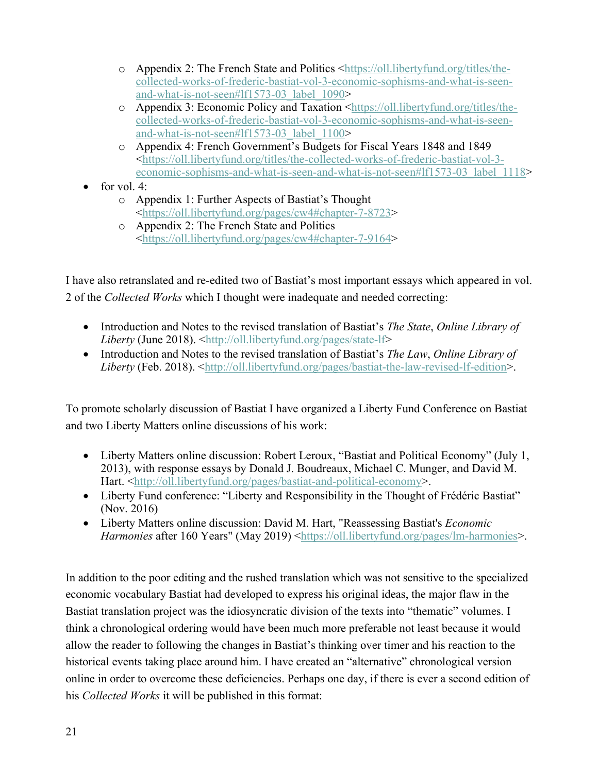- o Appendix 2: The French State and Politics <https://oll.libertyfund.org/titles/thecollected-works-of-frederic-bastiat-vol-3-economic-sophisms-and-what-is-seenand-what-is-not-seen#lf1573-03\_label\_1090>
- o Appendix 3: Economic Policy and Taxation <https://oll.libertyfund.org/titles/thecollected-works-of-frederic-bastiat-vol-3-economic-sophisms-and-what-is-seenand-what-is-not-seen#lf1573-03\_label\_1100>
- o Appendix 4: French Government's Budgets for Fiscal Years 1848 and 1849 <https://oll.libertyfund.org/titles/the-collected-works-of-frederic-bastiat-vol-3 economic-sophisms-and-what-is-seen-and-what-is-not-seen#lf1573-03\_label\_1118>
- for vol.  $4$ :
	- o Appendix 1: Further Aspects of Bastiat's Thought <https://oll.libertyfund.org/pages/cw4#chapter-7-8723>
	- o Appendix 2: The French State and Politics <https://oll.libertyfund.org/pages/cw4#chapter-7-9164>

I have also retranslated and re-edited two of Bastiat's most important essays which appeared in vol. 2 of the *Collected Works* which I thought were inadequate and needed correcting:

- Introduction and Notes to the revised translation of Bastiat's *The State*, *Online Library of Liberty* (June 2018). <http://oll.libertyfund.org/pages/state-lf>
- Introduction and Notes to the revised translation of Bastiat's *The Law*, *Online Library of Liberty* (Feb. 2018). <http://oll.libertyfund.org/pages/bastiat-the-law-revised-lf-edition>.

To promote scholarly discussion of Bastiat I have organized a Liberty Fund Conference on Bastiat and two Liberty Matters online discussions of his work:

- Liberty Matters online discussion: Robert Leroux, "Bastiat and Political Economy" (July 1, 2013), with response essays by Donald J. Boudreaux, Michael C. Munger, and David M. Hart. <http://oll.libertyfund.org/pages/bastiat-and-political-economy>.
- Liberty Fund conference: "Liberty and Responsibility in the Thought of Frédéric Bastiat" (Nov. 2016)
- Liberty Matters online discussion: David M. Hart, "Reassessing Bastiat's *Economic Harmonies* after 160 Years" (May 2019) <https://oll.libertyfund.org/pages/lm-harmonies>.

In addition to the poor editing and the rushed translation which was not sensitive to the specialized economic vocabulary Bastiat had developed to express his original ideas, the major flaw in the Bastiat translation project was the idiosyncratic division of the texts into "thematic" volumes. I think a chronological ordering would have been much more preferable not least because it would allow the reader to following the changes in Bastiat's thinking over timer and his reaction to the historical events taking place around him. I have created an "alternative" chronological version online in order to overcome these deficiencies. Perhaps one day, if there is ever a second edition of his *Collected Works* it will be published in this format: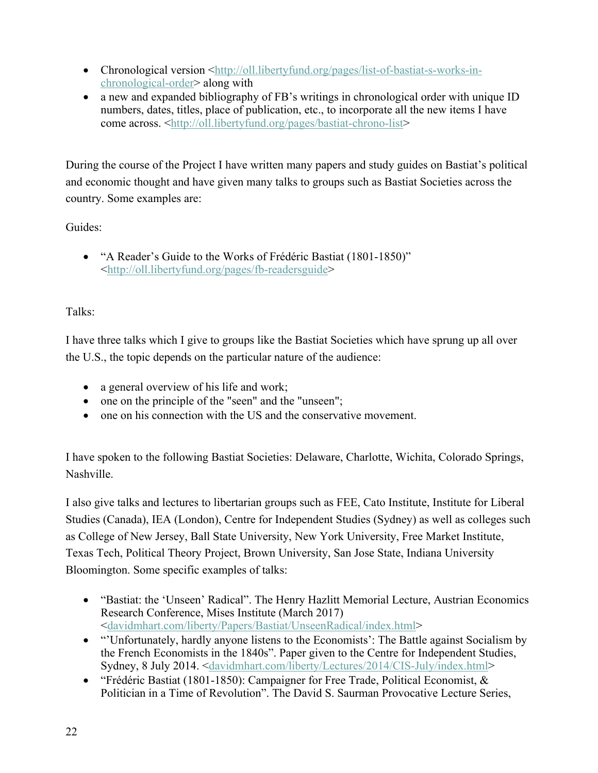- Chronological version  $\text{thtp:}/\text{/oll.}$ libertyfund.org/pages/list-of-bastiat-s-works-inchronological-order> along with
- a new and expanded bibliography of FB's writings in chronological order with unique ID numbers, dates, titles, place of publication, etc., to incorporate all the new items I have come across. <http://oll.libertyfund.org/pages/bastiat-chrono-list>

During the course of the Project I have written many papers and study guides on Bastiat's political and economic thought and have given many talks to groups such as Bastiat Societies across the country. Some examples are:

### Guides:

• "A Reader's Guide to the Works of Frédéric Bastiat (1801-1850)" <http://oll.libertyfund.org/pages/fb-readersguide>

### Talks:

I have three talks which I give to groups like the Bastiat Societies which have sprung up all over the U.S., the topic depends on the particular nature of the audience:

- a general overview of his life and work;
- one on the principle of the "seen" and the "unseen";
- one on his connection with the US and the conservative movement.

I have spoken to the following Bastiat Societies: Delaware, Charlotte, Wichita, Colorado Springs, Nashville.

I also give talks and lectures to libertarian groups such as FEE, Cato Institute, Institute for Liberal Studies (Canada), IEA (London), Centre for Independent Studies (Sydney) as well as colleges such as College of New Jersey, Ball State University, New York University, Free Market Institute, Texas Tech, Political Theory Project, Brown University, San Jose State, Indiana University Bloomington. Some specific examples of talks:

- "Bastiat: the 'Unseen' Radical''. The Henry Hazlitt Memorial Lecture, Austrian Economics Research Conference, Mises Institute (March 2017) <davidmhart.com/liberty/Papers/Bastiat/UnseenRadical/index.html>
- "Unfortunately, hardly anyone listens to the Economists': The Battle against Socialism by the French Economists in the 1840s". Paper given to the Centre for Independent Studies, Sydney, 8 July 2014. <davidmhart.com/liberty/Lectures/2014/CIS-July/index.html>
- "Frédéric Bastiat (1801-1850): Campaigner for Free Trade, Political Economist, & Politician in a Time of Revolution". The David S. Saurman Provocative Lecture Series,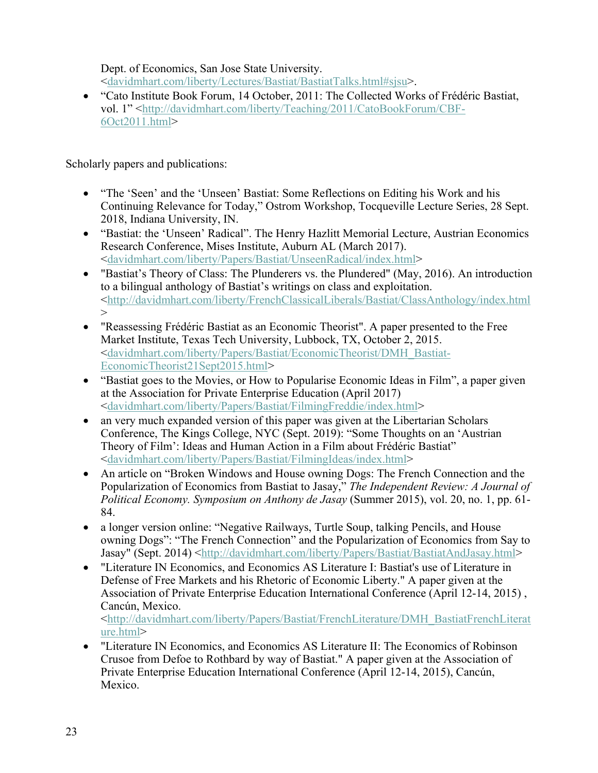Dept. of Economics, San Jose State University. <davidmhart.com/liberty/Lectures/Bastiat/BastiatTalks.html#sjsu>.

• "Cato Institute Book Forum, 14 October, 2011: The Collected Works of Frédéric Bastiat, vol. 1" <http://davidmhart.com/liberty/Teaching/2011/CatoBookForum/CBF-6Oct2011.html>

Scholarly papers and publications:

- "The 'Seen' and the 'Unseen' Bastiat: Some Reflections on Editing his Work and his Continuing Relevance for Today," Ostrom Workshop, Tocqueville Lecture Series, 28 Sept. 2018, Indiana University, IN.
- "Bastiat: the 'Unseen' Radical". The Henry Hazlitt Memorial Lecture, Austrian Economics Research Conference, Mises Institute, Auburn AL (March 2017). <davidmhart.com/liberty/Papers/Bastiat/UnseenRadical/index.html>
- "Bastiat's Theory of Class: The Plunderers vs. the Plundered" (May, 2016). An introduction to a bilingual anthology of Bastiat's writings on class and exploitation. <http://davidmhart.com/liberty/FrenchClassicalLiberals/Bastiat/ClassAnthology/index.html  $\geq$
- "Reassessing Frédéric Bastiat as an Economic Theorist". A paper presented to the Free Market Institute, Texas Tech University, Lubbock, TX, October 2, 2015. <davidmhart.com/liberty/Papers/Bastiat/EconomicTheorist/DMH\_Bastiat-EconomicTheorist21Sept2015.html>
- "Bastiat goes to the Movies, or How to Popularise Economic Ideas in Film", a paper given at the Association for Private Enterprise Education (April 2017) <davidmhart.com/liberty/Papers/Bastiat/FilmingFreddie/index.html>
- an very much expanded version of this paper was given at the Libertarian Scholars Conference, The Kings College, NYC (Sept. 2019): "Some Thoughts on an 'Austrian Theory of Film': Ideas and Human Action in a Film about Frédéric Bastiat" <davidmhart.com/liberty/Papers/Bastiat/FilmingIdeas/index.html>
- An article on "Broken Windows and House owning Dogs: The French Connection and the Popularization of Economics from Bastiat to Jasay," *The Independent Review: A Journal of Political Economy. Symposium on Anthony de Jasay* (Summer 2015), vol. 20, no. 1, pp. 61- 84.
- a longer version online: "Negative Railways, Turtle Soup, talking Pencils, and House owning Dogs": "The French Connection" and the Popularization of Economics from Say to Jasay" (Sept. 2014) <http://davidmhart.com/liberty/Papers/Bastiat/BastiatAndJasay.html>
- "Literature IN Economics, and Economics AS Literature I: Bastiat's use of Literature in Defense of Free Markets and his Rhetoric of Economic Liberty." A paper given at the Association of Private Enterprise Education International Conference (April 12-14, 2015) , Cancún, Mexico.

<http://davidmhart.com/liberty/Papers/Bastiat/FrenchLiterature/DMH\_BastiatFrenchLiterat ure.html>

• "Literature IN Economics, and Economics AS Literature II: The Economics of Robinson Crusoe from Defoe to Rothbard by way of Bastiat." A paper given at the Association of Private Enterprise Education International Conference (April 12-14, 2015), Cancún, Mexico.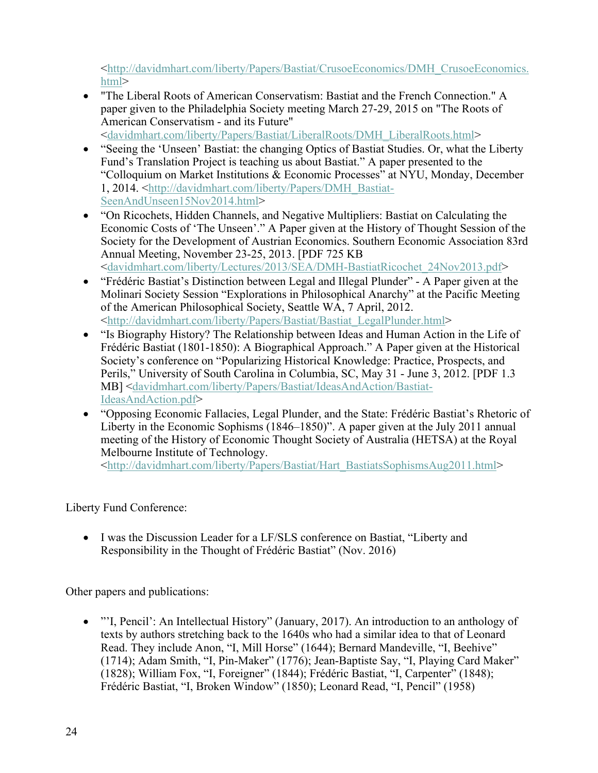<http://davidmhart.com/liberty/Papers/Bastiat/CrusoeEconomics/DMH\_CrusoeEconomics. html>

• "The Liberal Roots of American Conservatism: Bastiat and the French Connection." A paper given to the Philadelphia Society meeting March 27-29, 2015 on "The Roots of American Conservatism - and its Future"

<davidmhart.com/liberty/Papers/Bastiat/LiberalRoots/DMH\_LiberalRoots.html>

- "Seeing the 'Unseen' Bastiat: the changing Optics of Bastiat Studies. Or, what the Liberty Fund's Translation Project is teaching us about Bastiat." A paper presented to the "Colloquium on Market Institutions & Economic Processes" at NYU, Monday, December 1, 2014. <http://davidmhart.com/liberty/Papers/DMH\_Bastiat-SeenAndUnseen15Nov2014.html>
- "On Ricochets, Hidden Channels, and Negative Multipliers: Bastiat on Calculating the Economic Costs of 'The Unseen'." A Paper given at the History of Thought Session of the Society for the Development of Austrian Economics. Southern Economic Association 83rd Annual Meeting, November 23-25, 2013. [PDF 725 KB <davidmhart.com/liberty/Lectures/2013/SEA/DMH-BastiatRicochet\_24Nov2013.pdf>
- "Frédéric Bastiat's Distinction between Legal and Illegal Plunder" A Paper given at the Molinari Society Session "Explorations in Philosophical Anarchy" at the Pacific Meeting of the American Philosophical Society, Seattle WA, 7 April, 2012. <http://davidmhart.com/liberty/Papers/Bastiat/Bastiat\_LegalPlunder.html>
- "Is Biography History? The Relationship between Ideas and Human Action in the Life of Frédéric Bastiat (1801-1850): A Biographical Approach." A Paper given at the Historical Society's conference on "Popularizing Historical Knowledge: Practice, Prospects, and Perils," University of South Carolina in Columbia, SC, May 31 - June 3, 2012. [PDF 1.3 MB] <davidmhart.com/liberty/Papers/Bastiat/IdeasAndAction/Bastiat-IdeasAndAction.pdf>
- "Opposing Economic Fallacies, Legal Plunder, and the State: Frédéric Bastiat's Rhetoric of Liberty in the Economic Sophisms (1846–1850)". A paper given at the July 2011 annual meeting of the History of Economic Thought Society of Australia (HETSA) at the Royal Melbourne Institute of Technology.

<http://davidmhart.com/liberty/Papers/Bastiat/Hart\_BastiatsSophismsAug2011.html>

Liberty Fund Conference:

• I was the Discussion Leader for a LF/SLS conference on Bastiat, "Liberty and Responsibility in the Thought of Frédéric Bastiat" (Nov. 2016)

Other papers and publications:

• "'I, Pencil': An Intellectual History" (January, 2017). An introduction to an anthology of texts by authors stretching back to the 1640s who had a similar idea to that of Leonard Read. They include Anon, "I, Mill Horse" (1644); Bernard Mandeville, "I, Beehive" (1714); Adam Smith, "I, Pin-Maker" (1776); Jean-Baptiste Say, "I, Playing Card Maker" (1828); William Fox, "I, Foreigner" (1844); Frédéric Bastiat, "I, Carpenter" (1848); Frédéric Bastiat, "I, Broken Window" (1850); Leonard Read, "I, Pencil" (1958)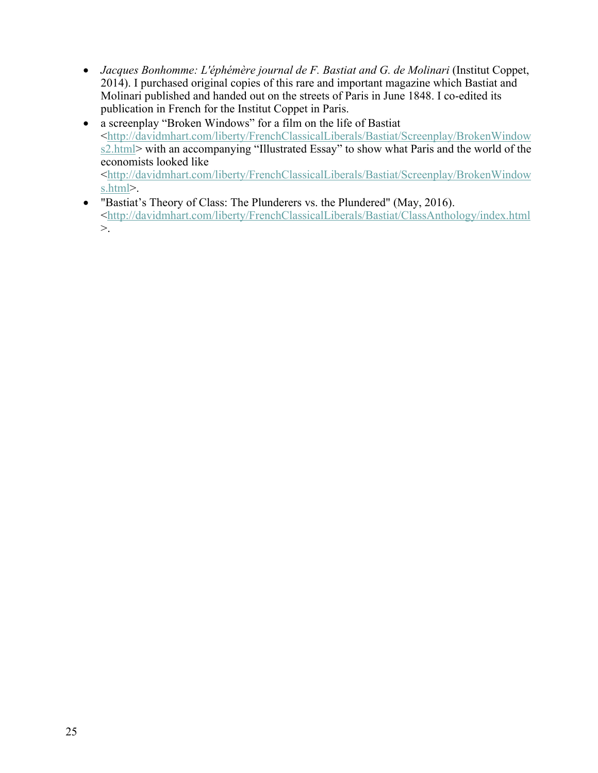- *Jacques Bonhomme: L'éphémère journal de F. Bastiat and G. de Molinari* (Institut Coppet, 2014). I purchased original copies of this rare and important magazine which Bastiat and Molinari published and handed out on the streets of Paris in June 1848. I co-edited its publication in French for the Institut Coppet in Paris.
- a screenplay "Broken Windows" for a film on the life of Bastiat <http://davidmhart.com/liberty/FrenchClassicalLiberals/Bastiat/Screenplay/BrokenWindow s2.html> with an accompanying "Illustrated Essay" to show what Paris and the world of the economists looked like <http://davidmhart.com/liberty/FrenchClassicalLiberals/Bastiat/Screenplay/BrokenWindow s.html>.
- "Bastiat's Theory of Class: The Plunderers vs. the Plundered" (May, 2016). <http://davidmhart.com/liberty/FrenchClassicalLiberals/Bastiat/ClassAnthology/index.html  $>$ .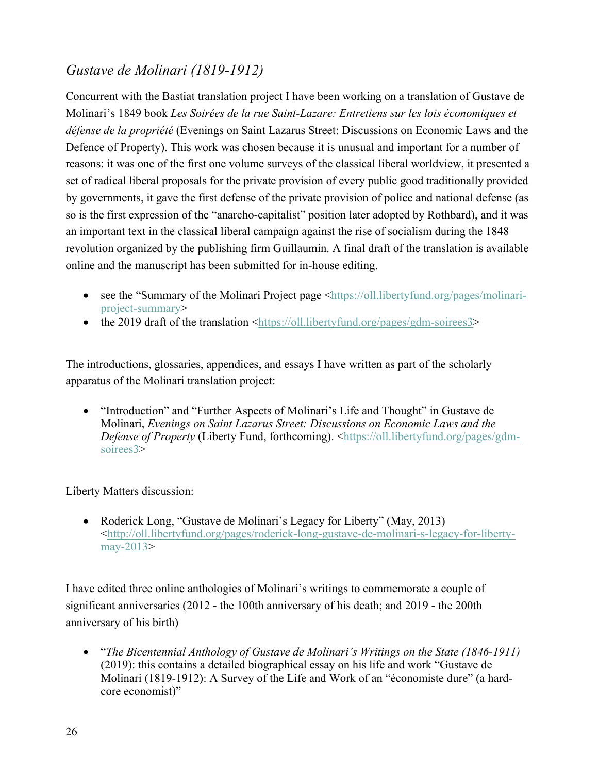# *Gustave de Molinari (1819-1912)*

Concurrent with the Bastiat translation project I have been working on a translation of Gustave de Molinari's 1849 book *Les Soirées de la rue Saint-Lazare: Entretiens sur les lois économiques et défense de la propriété* (Evenings on Saint Lazarus Street: Discussions on Economic Laws and the Defence of Property). This work was chosen because it is unusual and important for a number of reasons: it was one of the first one volume surveys of the classical liberal worldview, it presented a set of radical liberal proposals for the private provision of every public good traditionally provided by governments, it gave the first defense of the private provision of police and national defense (as so is the first expression of the "anarcho-capitalist" position later adopted by Rothbard), and it was an important text in the classical liberal campaign against the rise of socialism during the 1848 revolution organized by the publishing firm Guillaumin. A final draft of the translation is available online and the manuscript has been submitted for in-house editing.

- see the "Summary of the Molinari Project page  $\langle \frac{h}{h} \cdot \frac{h}{h} \cdot \frac{h}{h} \cdot \frac{h}{h} \cdot \frac{h}{h} \cdot \frac{h}{h} \cdot \frac{h}{h} \cdot \frac{h}{h} \cdot \frac{h}{h} \cdot \frac{h}{h} \cdot \frac{h}{h} \cdot \frac{h}{h} \cdot \frac{h}{h} \cdot \frac{h}{h} \cdot \frac{h}{h} \cdot \frac{h}{h} \cdot \frac{h}{h} \cdot \frac{h}{h} \cdot \frac{h}{h} \$ project-summary>
- the 2019 draft of the translation  $\frac{\text{th}}{\text{th}}$ ://oll.libertyfund.org/pages/gdm-soirees3>

The introductions, glossaries, appendices, and essays I have written as part of the scholarly apparatus of the Molinari translation project:

• "Introduction" and "Further Aspects of Molinari's Life and Thought" in Gustave de Molinari, *Evenings on Saint Lazarus Street: Discussions on Economic Laws and the Defense of Property* (Liberty Fund, forthcoming). <https://oll.libertyfund.org/pages/gdmsoirees3>

Liberty Matters discussion:

• Roderick Long, "Gustave de Molinari's Legacy for Liberty" (May, 2013) <http://oll.libertyfund.org/pages/roderick-long-gustave-de-molinari-s-legacy-for-libertymay-2013>

I have edited three online anthologies of Molinari's writings to commemorate a couple of significant anniversaries (2012 - the 100th anniversary of his death; and 2019 - the 200th anniversary of his birth)

• "*The Bicentennial Anthology of Gustave de Molinari's Writings on the State (1846-1911)* (2019): this contains a detailed biographical essay on his life and work "Gustave de Molinari (1819-1912): A Survey of the Life and Work of an "économiste dure" (a hardcore economist)"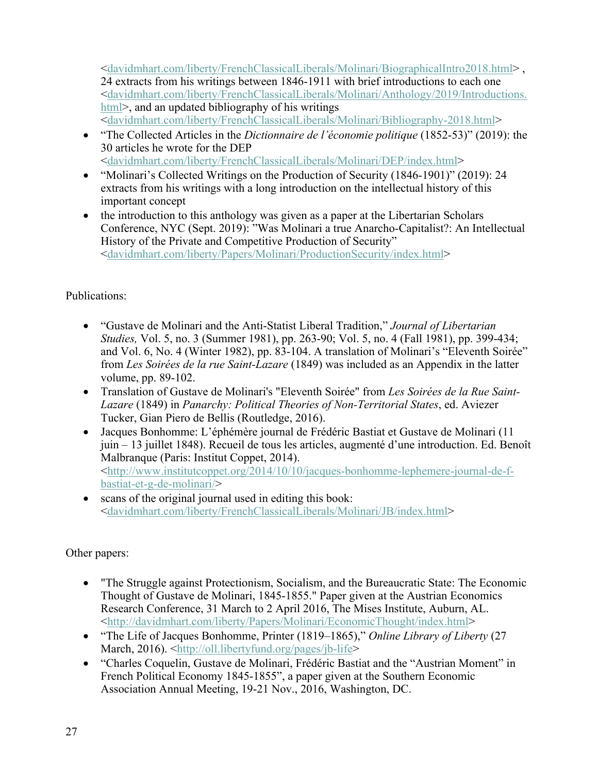<davidmhart.com/liberty/FrenchClassicalLiberals/Molinari/BiographicalIntro2018.html> , 24 extracts from his writings between 1846-1911 with brief introductions to each one <davidmhart.com/liberty/FrenchClassicalLiberals/Molinari/Anthology/2019/Introductions. html>, and an updated bibliography of his writings <davidmhart.com/liberty/FrenchClassicalLiberals/Molinari/Bibliography-2018.html>

- "The Collected Articles in the *Dictionnaire de l'économie politique* (1852-53)" (2019): the 30 articles he wrote for the DEP <davidmhart.com/liberty/FrenchClassicalLiberals/Molinari/DEP/index.html>
- "Molinari's Collected Writings on the Production of Security (1846-1901)" (2019): 24 extracts from his writings with a long introduction on the intellectual history of this important concept
- the introduction to this anthology was given as a paper at the Libertarian Scholars Conference, NYC (Sept. 2019): "Was Molinari a true Anarcho-Capitalist?: An Intellectual History of the Private and Competitive Production of Security" <davidmhart.com/liberty/Papers/Molinari/ProductionSecurity/index.html>

### Publications:

- "Gustave de Molinari and the Anti-Statist Liberal Tradition," *Journal of Libertarian Studies,* Vol. 5, no. 3 (Summer 1981), pp. 263-90; Vol. 5, no. 4 (Fall 1981), pp. 399-434; and Vol. 6, No. 4 (Winter 1982), pp. 83-104. A translation of Molinari's "Eleventh Soirée" from *Les Soirées de la rue Saint-Lazare* (1849) was included as an Appendix in the latter volume, pp. 89-102.
- Translation of Gustave de Molinari's "Eleventh Soirée" from *Les Soirées de la Rue Saint-Lazare* (1849) in *Panarchy: Political Theories of Non-Territorial States*, ed. Aviezer Tucker, Gian Piero de Bellis (Routledge, 2016).
- Jacques Bonhomme: L'éphémère journal de Frédéric Bastiat et Gustave de Molinari (11 juin – 13 juillet 1848). Recueil de tous les articles, augmenté d'une introduction. Ed. Benoît Malbranque (Paris: Institut Coppet, 2014). <http://www.institutcoppet.org/2014/10/10/jacques-bonhomme-lephemere-journal-de-fbastiat-et-g-de-molinari/>
- scans of the original journal used in editing this book: <davidmhart.com/liberty/FrenchClassicalLiberals/Molinari/JB/index.html>

Other papers:

- "The Struggle against Protectionism, Socialism, and the Bureaucratic State: The Economic Thought of Gustave de Molinari, 1845-1855." Paper given at the Austrian Economics Research Conference, 31 March to 2 April 2016, The Mises Institute, Auburn, AL. <http://davidmhart.com/liberty/Papers/Molinari/EconomicThought/index.html>
- "The Life of Jacques Bonhomme, Printer (1819–1865)," *Online Library of Liberty* (27 March, 2016). <http://oll.libertyfund.org/pages/jb-life>
- "Charles Coquelin, Gustave de Molinari, Frédéric Bastiat and the "Austrian Moment" in French Political Economy 1845-1855", a paper given at the Southern Economic Association Annual Meeting, 19-21 Nov., 2016, Washington, DC.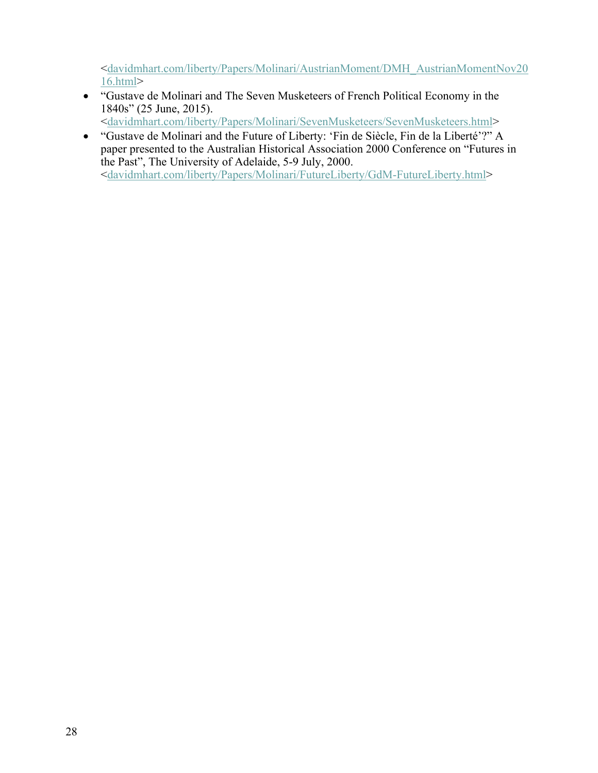<davidmhart.com/liberty/Papers/Molinari/AustrianMoment/DMH\_AustrianMomentNov20 16.html>

• "Gustave de Molinari and The Seven Musketeers of French Political Economy in the 1840s" (25 June, 2015).

<davidmhart.com/liberty/Papers/Molinari/SevenMusketeers/SevenMusketeers.html>

• "Gustave de Molinari and the Future of Liberty: 'Fin de Siècle, Fin de la Liberté'?" A paper presented to the Australian Historical Association 2000 Conference on "Futures in the Past", The University of Adelaide, 5-9 July, 2000. <davidmhart.com/liberty/Papers/Molinari/FutureLiberty/GdM-FutureLiberty.html>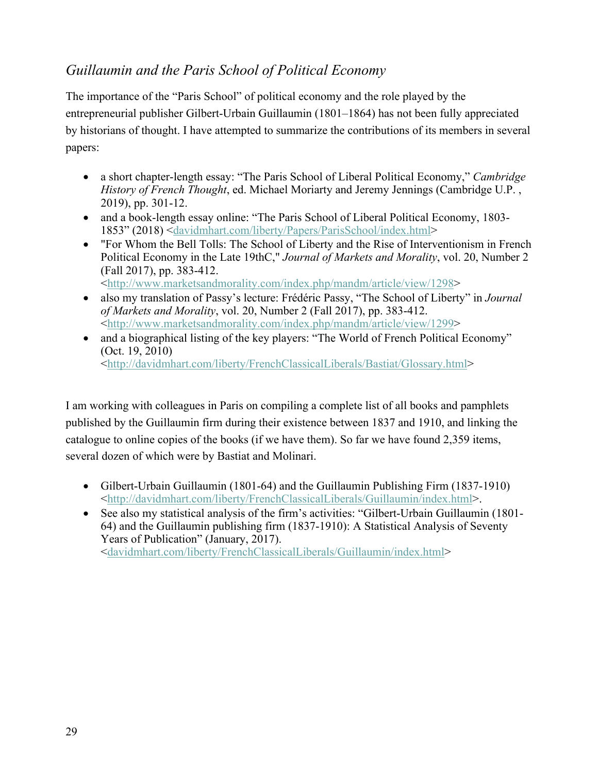# *Guillaumin and the Paris School of Political Economy*

The importance of the "Paris School" of political economy and the role played by the entrepreneurial publisher Gilbert-Urbain Guillaumin (1801–1864) has not been fully appreciated by historians of thought. I have attempted to summarize the contributions of its members in several papers:

- a short chapter-length essay: "The Paris School of Liberal Political Economy," *Cambridge History of French Thought*, ed. Michael Moriarty and Jeremy Jennings (Cambridge U.P. , 2019), pp. 301-12.
- and a book-length essay online: "The Paris School of Liberal Political Economy, 1803-1853" (2018) <davidmhart.com/liberty/Papers/ParisSchool/index.html>
- "For Whom the Bell Tolls: The School of Liberty and the Rise of Interventionism in French Political Economy in the Late 19thC," *Journal of Markets and Morality*, vol. 20, Number 2 (Fall 2017), pp. 383-412. <http://www.marketsandmorality.com/index.php/mandm/article/view/1298>
- also my translation of Passy's lecture: Frédéric Passy, "The School of Liberty" in *Journal of Markets and Morality*, vol. 20, Number 2 (Fall 2017), pp. 383-412. <http://www.marketsandmorality.com/index.php/mandm/article/view/1299>
- and a biographical listing of the key players: "The World of French Political Economy" (Oct. 19, 2010) <http://davidmhart.com/liberty/FrenchClassicalLiberals/Bastiat/Glossary.html>

I am working with colleagues in Paris on compiling a complete list of all books and pamphlets published by the Guillaumin firm during their existence between 1837 and 1910, and linking the catalogue to online copies of the books (if we have them). So far we have found 2,359 items, several dozen of which were by Bastiat and Molinari.

- Gilbert-Urbain Guillaumin (1801-64) and the Guillaumin Publishing Firm (1837-1910) <http://davidmhart.com/liberty/FrenchClassicalLiberals/Guillaumin/index.html>.
- See also my statistical analysis of the firm's activities: "Gilbert-Urbain Guillaumin (1801- 64) and the Guillaumin publishing firm (1837-1910): A Statistical Analysis of Seventy Years of Publication" (January, 2017). <davidmhart.com/liberty/FrenchClassicalLiberals/Guillaumin/index.html>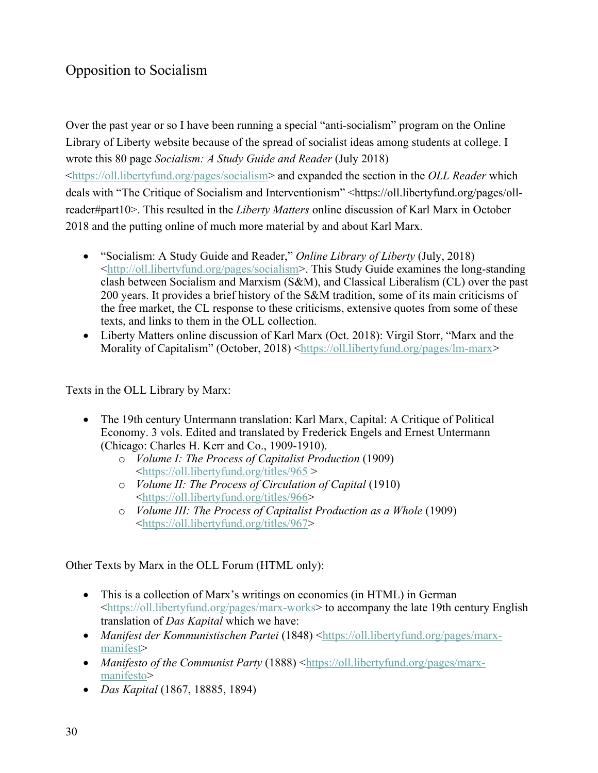# Opposition to Socialism

Over the past year or so I have been running a special "anti-socialism" program on the Online Library of Liberty website because of the spread of socialist ideas among students at college. I wrote this 80 page *Socialism: A Study Guide and Reader* (July 2018)

<https://oll.libertyfund.org/pages/socialism> and expanded the section in the *OLL Reader* which deals with "The Critique of Socialism and Interventionism" <https://oll.libertyfund.org/pages/ollreader#part10>. This resulted in the *Liberty Matters* online discussion of Karl Marx in October 2018 and the putting online of much more material by and about Karl Marx.

- "Socialism: A Study Guide and Reader," *Online Library of Liberty* (July, 2018) <http://oll.libertyfund.org/pages/socialism>. This Study Guide examines the long-standing clash between Socialism and Marxism (S&M), and Classical Liberalism (CL) over the past 200 years. It provides a brief history of the S&M tradition, some of its main criticisms of the free market, the CL response to these criticisms, extensive quotes from some of these texts, and links to them in the OLL collection.
- Liberty Matters online discussion of Karl Marx (Oct. 2018): Virgil Storr, "Marx and the Morality of Capitalism" (October, 2018) <https://oll.libertyfund.org/pages/lm-marx>

Texts in the OLL Library by Marx:

- The 19th century Untermann translation: Karl Marx, Capital: A Critique of Political Economy. 3 vols. Edited and translated by Frederick Engels and Ernest Untermann (Chicago: Charles H. Kerr and Co., 1909-1910).
	- o *Volume I: The Process of Capitalist Production* (1909) <https://oll.libertyfund.org/titles/965 >
	- o *Volume II: The Process of Circulation of Capital* (1910) <https://oll.libertyfund.org/titles/966>
	- o *Volume III: The Process of Capitalist Production as a Whole* (1909) <https://oll.libertyfund.org/titles/967>

Other Texts by Marx in the OLL Forum (HTML only):

- This is a collection of Marx's writings on economics (in HTML) in German <https://oll.libertyfund.org/pages/marx-works> to accompany the late 19th century English translation of *Das Kapital* which we have:
- *Manifest der Kommunistischen Partei* (1848) <https://oll.libertyfund.org/pages/marxmanifest>
- *Manifesto of the Communist Party* (1888) <https://oll.libertyfund.org/pages/marxmanifesto>
- *Das Kapital* (1867, 18885, 1894)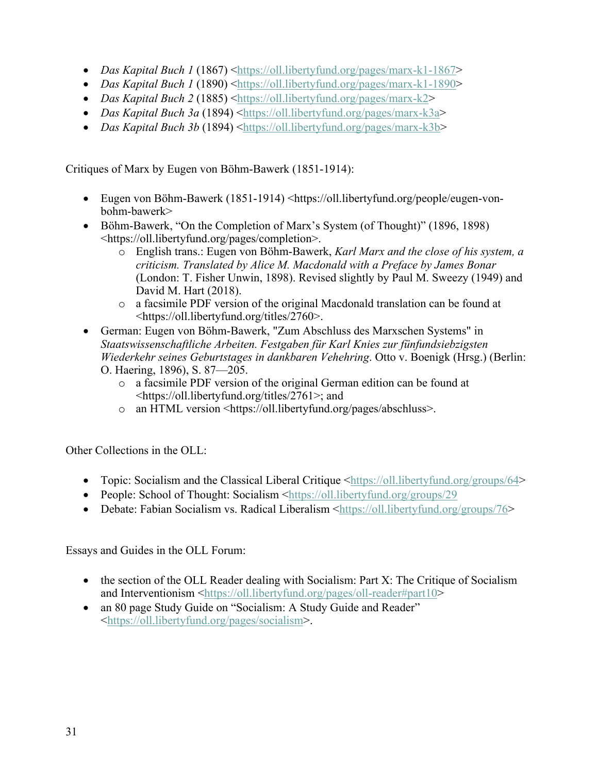- *Das Kapital Buch 1* (1867) <https://oll.libertyfund.org/pages/marx-k1-1867>
- *Das Kapital Buch 1* (1890) <https://oll.libertyfund.org/pages/marx-k1-1890>
- *Das Kapital Buch 2* (1885) <https://oll.libertyfund.org/pages/marx-k2>
- *Das Kapital Buch 3a* (1894) <https://oll.libertyfund.org/pages/marx-k3a>
- *Das Kapital Buch 3b* (1894) <https://oll.libertyfund.org/pages/marx-k3b>

Critiques of Marx by Eugen von Böhm-Bawerk (1851-1914):

- Eugen von Böhm-Bawerk (1851-1914) <https://oll.libertyfund.org/people/eugen-vonbohm-bawerk>
- Böhm-Bawerk, "On the Completion of Marx's System (of Thought)" (1896, 1898) <https://oll.libertyfund.org/pages/completion>.
	- o English trans.: Eugen von Böhm-Bawerk, *Karl Marx and the close of his system, a criticism. Translated by Alice M. Macdonald with a Preface by James Bonar* (London: T. Fisher Unwin, 1898). Revised slightly by Paul M. Sweezy (1949) and David M. Hart (2018).
	- o a facsimile PDF version of the original Macdonald translation can be found at <https://oll.libertyfund.org/titles/2760>.
- German: Eugen von Böhm-Bawerk, "Zum Abschluss des Marxschen Systems" in *Staatswissenschaftliche Arbeiten. Festgaben für Karl Knies zur fünfundsiebzigsten Wiederkehr seines Geburtstages in dankbaren Vehehring*. Otto v. Boenigk (Hrsg.) (Berlin: O. Haering, 1896), S. 87—205.
	- o a facsimile PDF version of the original German edition can be found at <https://oll.libertyfund.org/titles/2761>; and
	- o an HTML version <https://oll.libertyfund.org/pages/abschluss>.

Other Collections in the OLL:

- Topic: Socialism and the Classical Liberal Critique <https://oll.libertyfund.org/groups/64>
- People: School of Thought: Socialism <https://oll.libertyfund.org/groups/29
- Debate: Fabian Socialism vs. Radical Liberalism <https://oll.libertyfund.org/groups/76>

Essays and Guides in the OLL Forum:

- the section of the OLL Reader dealing with Socialism: Part X: The Critique of Socialism and Interventionism <https://oll.libertyfund.org/pages/oll-reader#part10>
- an 80 page Study Guide on "Socialism: A Study Guide and Reader" <https://oll.libertyfund.org/pages/socialism>.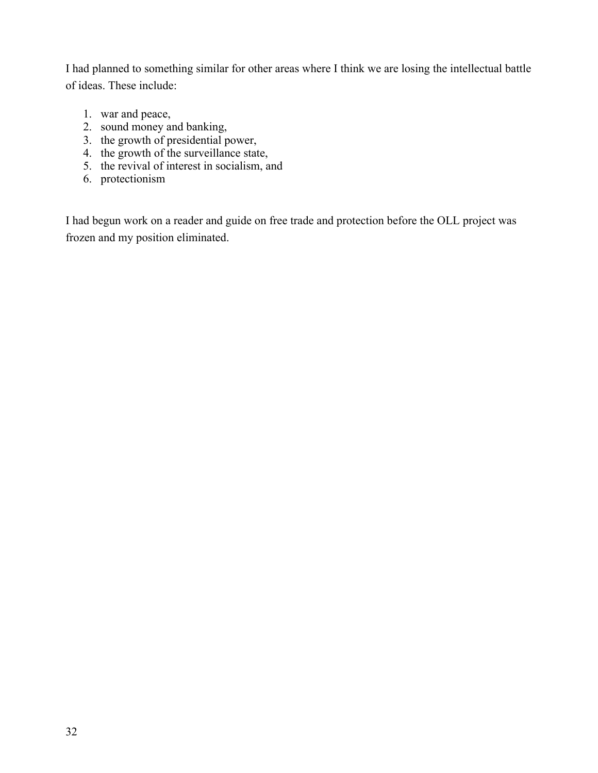I had planned to something similar for other areas where I think we are losing the intellectual battle of ideas. These include:

- 1. war and peace,
- 2. sound money and banking,
- 3. the growth of presidential power,
- 4. the growth of the surveillance state,
- 5. the revival of interest in socialism, and
- 6. protectionism

I had begun work on a reader and guide on free trade and protection before the OLL project was frozen and my position eliminated.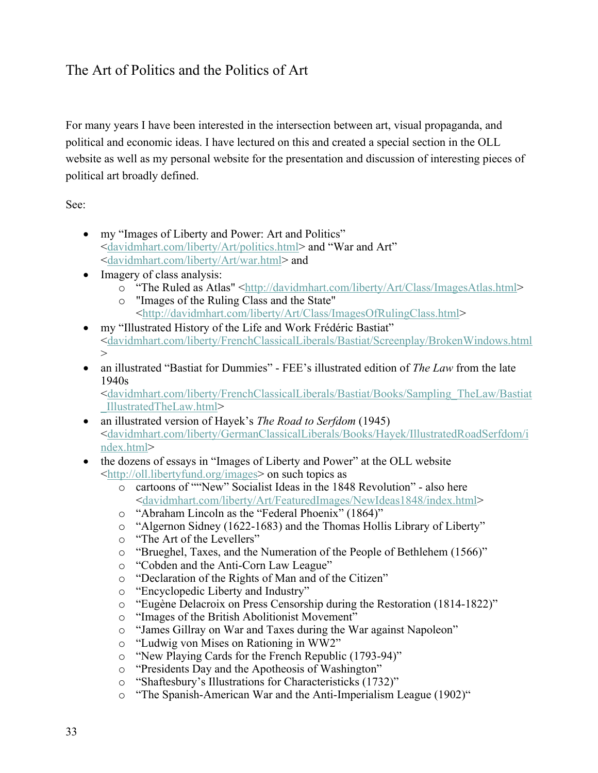### The Art of Politics and the Politics of Art

For many years I have been interested in the intersection between art, visual propaganda, and political and economic ideas. I have lectured on this and created a special section in the OLL website as well as my personal website for the presentation and discussion of interesting pieces of political art broadly defined.

See:

- my "Images of Liberty and Power: Art and Politics" <davidmhart.com/liberty/Art/politics.html> and "War and Art" <davidmhart.com/liberty/Art/war.html> and
- Imagery of class analysis:
	- o "The Ruled as Atlas" <http://davidmhart.com/liberty/Art/Class/ImagesAtlas.html>
	- o "Images of the Ruling Class and the State" <http://davidmhart.com/liberty/Art/Class/ImagesOfRulingClass.html>
- my "Illustrated History of the Life and Work Frédéric Bastiat" <davidmhart.com/liberty/FrenchClassicalLiberals/Bastiat/Screenplay/BrokenWindows.html  $\geq$
- an illustrated "Bastiat for Dummies" FEE's illustrated edition of *The Law* from the late 1940s

<davidmhart.com/liberty/FrenchClassicalLiberals/Bastiat/Books/Sampling\_TheLaw/Bastiat \_IllustratedTheLaw.html>

- an illustrated version of Hayek's *The Road to Serfdom* (1945) <davidmhart.com/liberty/GermanClassicalLiberals/Books/Hayek/IllustratedRoadSerfdom/i ndex.html>
- the dozens of essays in "Images of Liberty and Power" at the OLL website <http://oll.libertyfund.org/images> on such topics as
	- o cartoons of ""New" Socialist Ideas in the 1848 Revolution" also here <davidmhart.com/liberty/Art/FeaturedImages/NewIdeas1848/index.html>
	- o "Abraham Lincoln as the "Federal Phoenix" (1864)"
	- o "Algernon Sidney (1622-1683) and the Thomas Hollis Library of Liberty"
	- o "The Art of the Levellers"
	- o "Brueghel, Taxes, and the Numeration of the People of Bethlehem (1566)"
	- o "Cobden and the Anti-Corn Law League"
	- o "Declaration of the Rights of Man and of the Citizen"
	- o "Encyclopedic Liberty and Industry"
	- o "Eugène Delacroix on Press Censorship during the Restoration (1814-1822)"
	- o "Images of the British Abolitionist Movement"
	- o "James Gillray on War and Taxes during the War against Napoleon"
	- o "Ludwig von Mises on Rationing in WW2"
	- o "New Playing Cards for the French Republic (1793-94)"
	- o "Presidents Day and the Apotheosis of Washington"
	- o "Shaftesbury's Illustrations for Characteristicks (1732)"
	- o "The Spanish-American War and the Anti-Imperialism League (1902)"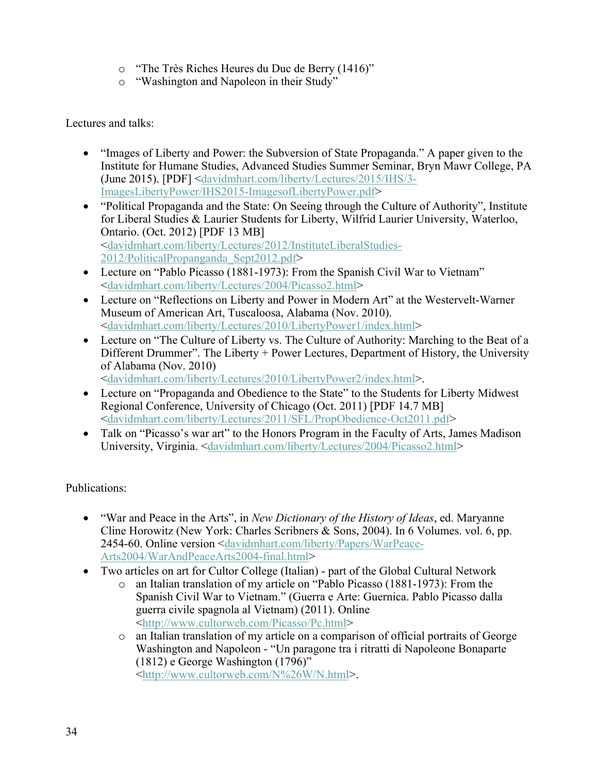- o "The Très Riches Heures du Duc de Berry (1416)"
- o "Washington and Napoleon in their Study"

Lectures and talks:

- "Images of Liberty and Power: the Subversion of State Propaganda." A paper given to the Institute for Humane Studies, Advanced Studies Summer Seminar, Bryn Mawr College, PA (June 2015). [PDF] <davidmhart.com/liberty/Lectures/2015/IHS/3- ImagesLibertyPower/IHS2015-ImagesofLibertyPower.pdf>
- "Political Propaganda and the State: On Seeing through the Culture of Authority", Institute for Liberal Studies & Laurier Students for Liberty, Wilfrid Laurier University, Waterloo, Ontario. (Oct. 2012) [PDF 13 MB] <davidmhart.com/liberty/Lectures/2012/InstituteLiberalStudies-2012/PoliticalPropanganda\_Sept2012.pdf>
- Lecture on "Pablo Picasso (1881-1973): From the Spanish Civil War to Vietnam" <davidmhart.com/liberty/Lectures/2004/Picasso2.html>
- Lecture on "Reflections on Liberty and Power in Modern Art" at the Westervelt-Warner Museum of American Art, Tuscaloosa, Alabama (Nov. 2010). <davidmhart.com/liberty/Lectures/2010/LibertyPower1/index.html>
- Lecture on "The Culture of Liberty vs. The Culture of Authority: Marching to the Beat of a Different Drummer". The Liberty + Power Lectures, Department of History, the University of Alabama (Nov. 2010)

<davidmhart.com/liberty/Lectures/2010/LibertyPower2/index.html>.

- Lecture on "Propaganda and Obedience to the State" to the Students for Liberty Midwest Regional Conference, University of Chicago (Oct. 2011) [PDF 14.7 MB] <davidmhart.com/liberty/Lectures/2011/SFL/PropObedience-Oct2011.pdf>
- Talk on "Picasso's war art" to the Honors Program in the Faculty of Arts, James Madison University, Virginia. <davidmhart.com/liberty/Lectures/2004/Picasso2.html>

Publications:

- "War and Peace in the Arts", in *New Dictionary of the History of Ideas*, ed. Maryanne Cline Horowitz (New York: Charles Scribners & Sons, 2004). In 6 Volumes. vol. 6, pp. 2454-60. Online version <davidmhart.com/liberty/Papers/WarPeace-Arts2004/WarAndPeaceArts2004-final.html>
- Two articles on art for Cultor College (Italian) part of the Global Cultural Network
	- o an Italian translation of my article on "Pablo Picasso (1881-1973): From the Spanish Civil War to Vietnam." (Guerra e Arte: Guernica. Pablo Picasso dalla guerra civile spagnola al Vietnam) (2011). Online <http://www.cultorweb.com/Picasso/Pc.html>
	- o an Italian translation of my article on a comparison of official portraits of George Washington and Napoleon - "Un paragone tra i ritratti di Napoleone Bonaparte (1812) e George Washington (1796)" <http://www.cultorweb.com/N%26W/N.html>.

34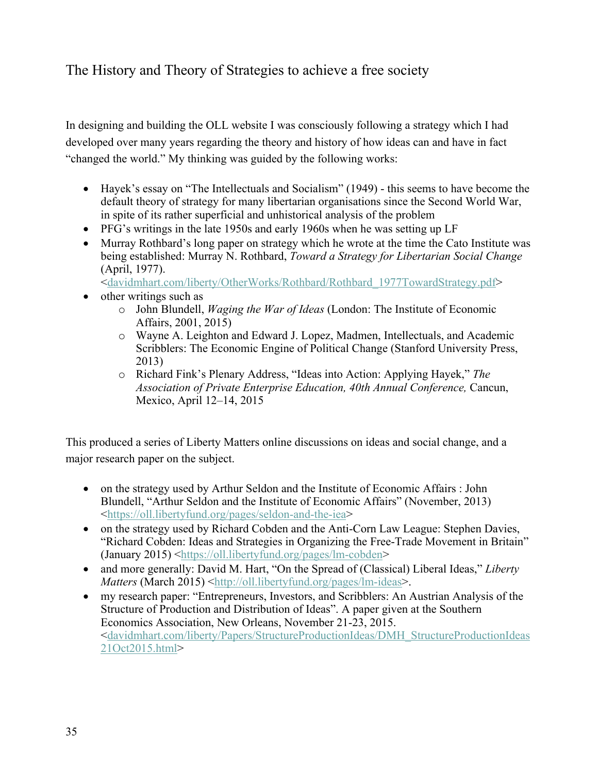# The History and Theory of Strategies to achieve a free society

In designing and building the OLL website I was consciously following a strategy which I had developed over many years regarding the theory and history of how ideas can and have in fact "changed the world." My thinking was guided by the following works:

- Hayek's essay on "The Intellectuals and Socialism" (1949) this seems to have become the default theory of strategy for many libertarian organisations since the Second World War, in spite of its rather superficial and unhistorical analysis of the problem
- PFG's writings in the late 1950s and early 1960s when he was setting up LF
- Murray Rothbard's long paper on strategy which he wrote at the time the Cato Institute was being established: Murray N. Rothbard, *Toward a Strategy for Libertarian Social Change* (April, 1977).

<davidmhart.com/liberty/OtherWorks/Rothbard/Rothbard\_1977TowardStrategy.pdf>

- other writings such as
	- o John Blundell, *Waging the War of Ideas* (London: The Institute of Economic Affairs, 2001, 2015)
	- o Wayne A. Leighton and Edward J. Lopez, Madmen, Intellectuals, and Academic Scribblers: The Economic Engine of Political Change (Stanford University Press, 2013)
	- o Richard Fink's Plenary Address, "Ideas into Action: Applying Hayek," *The Association of Private Enterprise Education, 40th Annual Conference,* Cancun, Mexico, April 12–14, 2015

This produced a series of Liberty Matters online discussions on ideas and social change, and a major research paper on the subject.

- on the strategy used by Arthur Seldon and the Institute of Economic Affairs : John Blundell, "Arthur Seldon and the Institute of Economic Affairs" (November, 2013) <https://oll.libertyfund.org/pages/seldon-and-the-iea>
- on the strategy used by Richard Cobden and the Anti-Corn Law League: Stephen Davies, "Richard Cobden: Ideas and Strategies in Organizing the Free-Trade Movement in Britain"  $(January 2015)$  <https://oll.libertyfund.org/pages/lm-cobden>
- and more generally: David M. Hart, "On the Spread of (Classical) Liberal Ideas," Liberty *Matters* (March 2015) <http://oll.libertyfund.org/pages/lm-ideas>.
- my research paper: "Entrepreneurs, Investors, and Scribblers: An Austrian Analysis of the Structure of Production and Distribution of Ideas". A paper given at the Southern Economics Association, New Orleans, November 21-23, 2015. <davidmhart.com/liberty/Papers/StructureProductionIdeas/DMH\_StructureProductionIdeas 21Oct2015.html>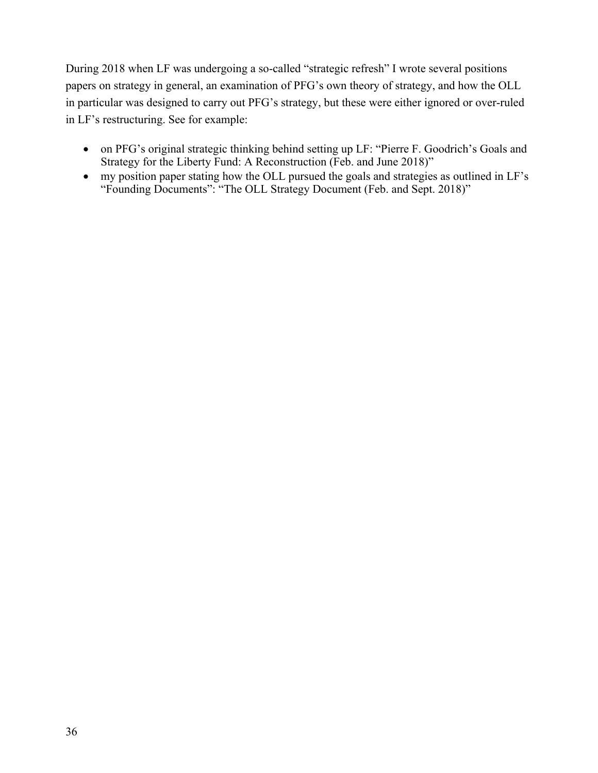During 2018 when LF was undergoing a so-called "strategic refresh" I wrote several positions papers on strategy in general, an examination of PFG's own theory of strategy, and how the OLL in particular was designed to carry out PFG's strategy, but these were either ignored or over-ruled in LF's restructuring. See for example:

- on PFG's original strategic thinking behind setting up LF: "Pierre F. Goodrich's Goals and Strategy for the Liberty Fund: A Reconstruction (Feb. and June 2018)"
- my position paper stating how the OLL pursued the goals and strategies as outlined in LF's "Founding Documents": "The OLL Strategy Document (Feb. and Sept. 2018)"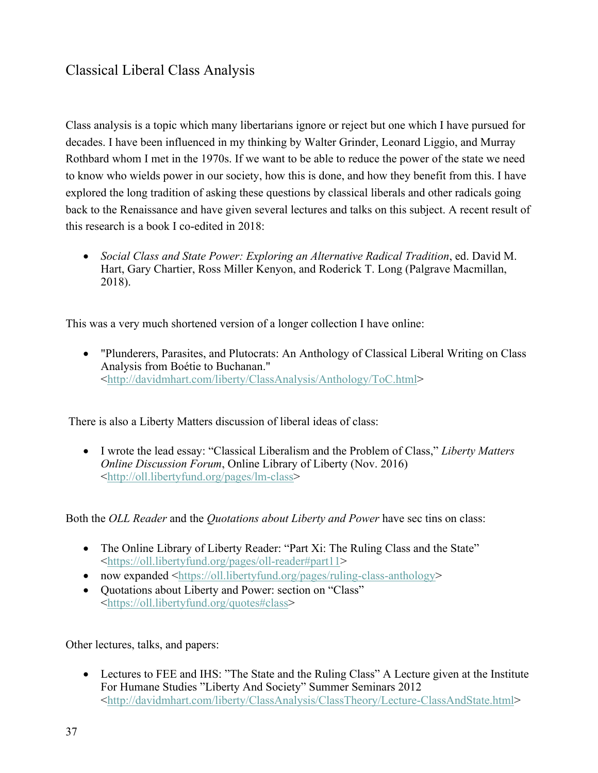# Classical Liberal Class Analysis

Class analysis is a topic which many libertarians ignore or reject but one which I have pursued for decades. I have been influenced in my thinking by Walter Grinder, Leonard Liggio, and Murray Rothbard whom I met in the 1970s. If we want to be able to reduce the power of the state we need to know who wields power in our society, how this is done, and how they benefit from this. I have explored the long tradition of asking these questions by classical liberals and other radicals going back to the Renaissance and have given several lectures and talks on this subject. A recent result of this research is a book I co-edited in 2018:

• *Social Class and State Power: Exploring an Alternative Radical Tradition*, ed. David M. Hart, Gary Chartier, Ross Miller Kenyon, and Roderick T. Long (Palgrave Macmillan, 2018).

This was a very much shortened version of a longer collection I have online:

• "Plunderers, Parasites, and Plutocrats: An Anthology of Classical Liberal Writing on Class Analysis from Boétie to Buchanan." <http://davidmhart.com/liberty/ClassAnalysis/Anthology/ToC.html>

There is also a Liberty Matters discussion of liberal ideas of class:

• I wrote the lead essay: "Classical Liberalism and the Problem of Class," *Liberty Matters Online Discussion Forum*, Online Library of Liberty (Nov. 2016) <http://oll.libertyfund.org/pages/lm-class>

Both the *OLL Reader* and the *Quotations about Liberty and Power* have sec tins on class:

- The Online Library of Liberty Reader: "Part Xi: The Ruling Class and the State" <https://oll.libertyfund.org/pages/oll-reader#part11>
- now expanded <https://oll.libertyfund.org/pages/ruling-class-anthology>
- Quotations about Liberty and Power: section on "Class" <https://oll.libertyfund.org/quotes#class>

Other lectures, talks, and papers:

• Lectures to FEE and IHS: "The State and the Ruling Class" A Lecture given at the Institute For Humane Studies "Liberty And Society" Summer Seminars 2012 <http://davidmhart.com/liberty/ClassAnalysis/ClassTheory/Lecture-ClassAndState.html>